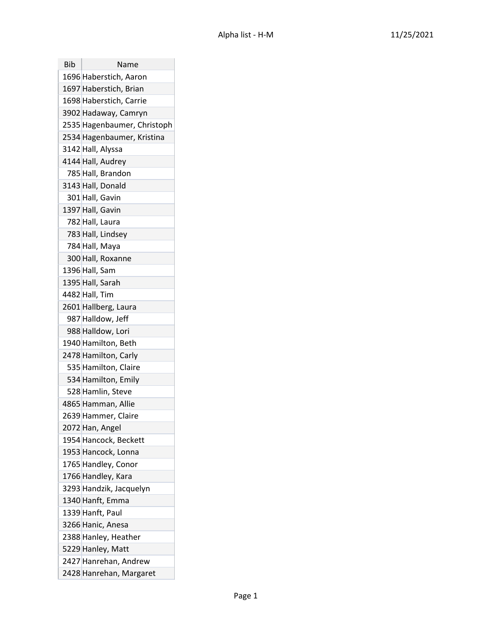| Bib | Name                        |
|-----|-----------------------------|
|     | 1696 Haberstich, Aaron      |
|     | 1697 Haberstich, Brian      |
|     | 1698 Haberstich, Carrie     |
|     | 3902 Hadaway, Camryn        |
|     | 2535 Hagenbaumer, Christoph |
|     | 2534 Hagenbaumer, Kristina  |
|     | 3142 Hall, Alyssa           |
|     | 4144 Hall, Audrey           |
|     | 785 Hall, Brandon           |
|     | 3143 Hall, Donald           |
|     | 301 Hall, Gavin             |
|     | 1397 Hall, Gavin            |
|     | 782 Hall, Laura             |
|     | 783 Hall, Lindsey           |
|     | 784 Hall, Maya              |
|     | 300 Hall, Roxanne           |
|     | 1396 Hall, Sam              |
|     | 1395 Hall, Sarah            |
|     | 4482 Hall, Tim              |
|     | 2601 Hallberg, Laura        |
|     | 987 Halldow, Jeff           |
|     | 988 Halldow, Lori           |
|     | 1940 Hamilton, Beth         |
|     | 2478 Hamilton, Carly        |
|     | 535 Hamilton, Claire        |
|     | 534 Hamilton, Emily         |
|     | 528 Hamlin, Steve           |
|     | 4865 Hamman, Allie          |
|     | 2639 Hammer, Claire         |
|     | 2072 Han, Angel             |
|     | 1954 Hancock, Beckett       |
|     | 1953 Hancock, Lonna         |
|     | 1765 Handley, Conor         |
|     | 1766 Handley, Kara          |
|     | 3293 Handzik, Jacquelyn     |
|     | 1340 Hanft, Emma            |
|     | 1339 Hanft, Paul            |
|     | 3266 Hanic, Anesa           |
|     | 2388 Hanley, Heather        |
|     | 5229 Hanley, Matt           |
|     | 2427 Hanrehan, Andrew       |
|     | 2428 Hanrehan, Margaret     |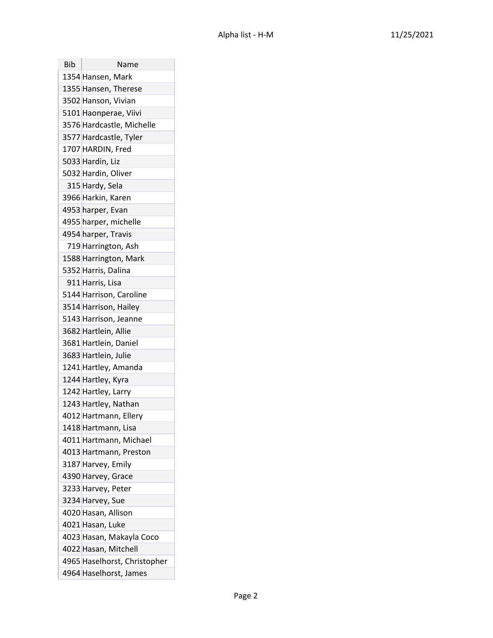| Bib | Name                         |
|-----|------------------------------|
|     | 1354 Hansen, Mark            |
|     | 1355 Hansen, Therese         |
|     | 3502 Hanson, Vivian          |
|     | 5101 Haonperae, Viivi        |
|     | 3576 Hardcastle, Michelle    |
|     | 3577 Hardcastle, Tyler       |
|     | 1707 HARDIN, Fred            |
|     | 5033 Hardin, Liz             |
|     | 5032 Hardin, Oliver          |
|     | 315 Hardy, Sela              |
|     | 3966 Harkin, Karen           |
|     | 4953 harper, Evan            |
|     | 4955 harper, michelle        |
|     | 4954 harper, Travis          |
|     | 719 Harrington, Ash          |
|     | 1588 Harrington, Mark        |
|     | 5352 Harris, Dalina          |
|     | 911 Harris, Lisa             |
|     | 5144 Harrison, Caroline      |
|     | 3514 Harrison, Hailey        |
|     | 5143 Harrison, Jeanne        |
|     | 3682 Hartlein, Allie         |
|     | 3681 Hartlein, Daniel        |
|     | 3683 Hartlein, Julie         |
|     | 1241 Hartley, Amanda         |
|     | 1244 Hartley, Kyra           |
|     | 1242 Hartley, Larry          |
|     | 1243 Hartley, Nathan         |
|     | 4012 Hartmann, Ellery        |
|     | 1418 Hartmann, Lisa          |
|     | 4011 Hartmann, Michael       |
|     | 4013 Hartmann, Preston       |
|     | 3187 Harvey, Emily           |
|     | 4390 Harvey, Grace           |
|     | 3233 Harvey, Peter           |
|     | 3234 Harvey, Sue             |
|     | 4020 Hasan, Allison          |
|     | 4021 Hasan, Luke             |
|     | 4023 Hasan, Makayla Coco     |
|     | 4022 Hasan, Mitchell         |
|     | 4965 Haselhorst, Christopher |
|     | 4964 Haselhorst, James       |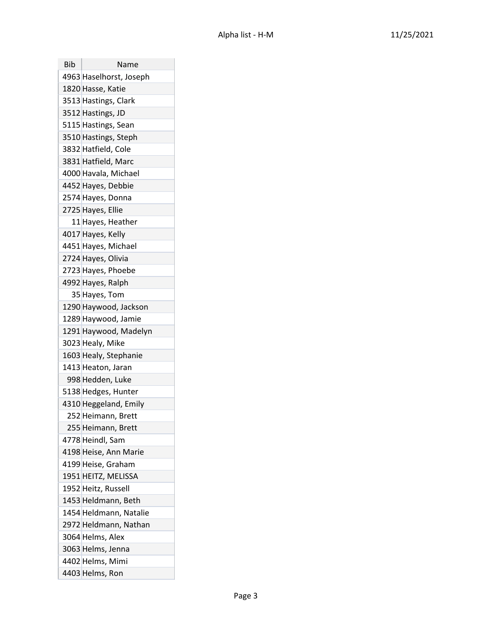| Bib | Name                    |
|-----|-------------------------|
|     | 4963 Haselhorst, Joseph |
|     | 1820 Hasse, Katie       |
|     | 3513 Hastings, Clark    |
|     | 3512 Hastings, JD       |
|     | 5115 Hastings, Sean     |
|     | 3510 Hastings, Steph    |
|     | 3832 Hatfield, Cole     |
|     | 3831 Hatfield, Marc     |
|     | 4000 Havala, Michael    |
|     | 4452 Hayes, Debbie      |
|     | 2574 Hayes, Donna       |
|     | 2725 Hayes, Ellie       |
|     | 11 Hayes, Heather       |
|     | 4017 Hayes, Kelly       |
|     | 4451 Hayes, Michael     |
|     | 2724 Hayes, Olivia      |
|     | 2723 Hayes, Phoebe      |
|     | 4992 Hayes, Ralph       |
|     | 35 Hayes, Tom           |
|     | 1290 Haywood, Jackson   |
|     | 1289 Haywood, Jamie     |
|     | 1291 Haywood, Madelyn   |
|     | 3023 Healy, Mike        |
|     | 1603 Healy, Stephanie   |
|     | 1413 Heaton, Jaran      |
|     | 998 Hedden, Luke        |
|     | 5138 Hedges, Hunter     |
|     | 4310 Heggeland, Emily   |
|     | 252 Heimann, Brett      |
|     | 255 Heimann, Brett      |
|     | 4778 Heindl, Sam        |
|     | 4198 Heise, Ann Marie   |
|     | 4199 Heise, Graham      |
|     | 1951 HEITZ, MELISSA     |
|     | 1952 Heitz, Russell     |
|     | 1453 Heldmann, Beth     |
|     | 1454 Heldmann, Natalie  |
|     | 2972 Heldmann, Nathan   |
|     | 3064 Helms, Alex        |
|     | 3063 Helms, Jenna       |
|     | 4402 Helms, Mimi        |
|     | 4403 Helms, Ron         |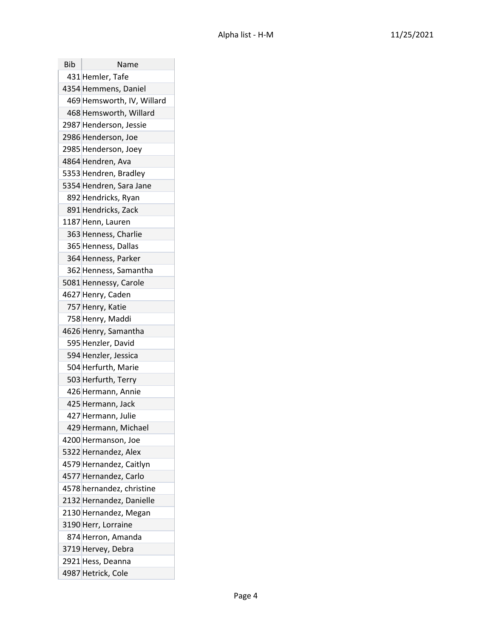| Bib | Name                       |
|-----|----------------------------|
|     | 431 Hemler, Tafe           |
|     | 4354 Hemmens, Daniel       |
|     | 469 Hemsworth, IV, Willard |
|     | 468 Hemsworth, Willard     |
|     | 2987 Henderson, Jessie     |
|     | 2986 Henderson, Joe        |
|     | 2985 Henderson, Joey       |
|     | 4864 Hendren, Ava          |
|     | 5353 Hendren, Bradley      |
|     | 5354 Hendren, Sara Jane    |
|     | 892 Hendricks, Ryan        |
|     | 891 Hendricks, Zack        |
|     | 1187 Henn, Lauren          |
|     | 363 Henness, Charlie       |
|     | 365 Henness, Dallas        |
|     | 364 Henness, Parker        |
|     | 362 Henness, Samantha      |
|     | 5081 Hennessy, Carole      |
|     | 4627 Henry, Caden          |
|     | 757 Henry, Katie           |
|     | 758 Henry, Maddi           |
|     | 4626 Henry, Samantha       |
|     | 595 Henzler, David         |
|     | 594 Henzler, Jessica       |
|     | 504 Herfurth, Marie        |
|     | 503 Herfurth, Terry        |
|     | 426 Hermann, Annie         |
|     | 425 Hermann, Jack          |
|     | 427 Hermann, Julie         |
|     | 429 Hermann, Michael       |
|     | 4200 Hermanson, Joe        |
|     | 5322 Hernandez, Alex       |
|     | 4579 Hernandez, Caitlyn    |
|     | 4577 Hernandez, Carlo      |
|     | 4578 hernandez, christine  |
|     | 2132 Hernandez, Danielle   |
|     | 2130 Hernandez, Megan      |
|     | 3190 Herr, Lorraine        |
|     | 874 Herron, Amanda         |
|     | 3719 Hervey, Debra         |
|     | 2921 Hess, Deanna          |
|     | 4987 Hetrick, Cole         |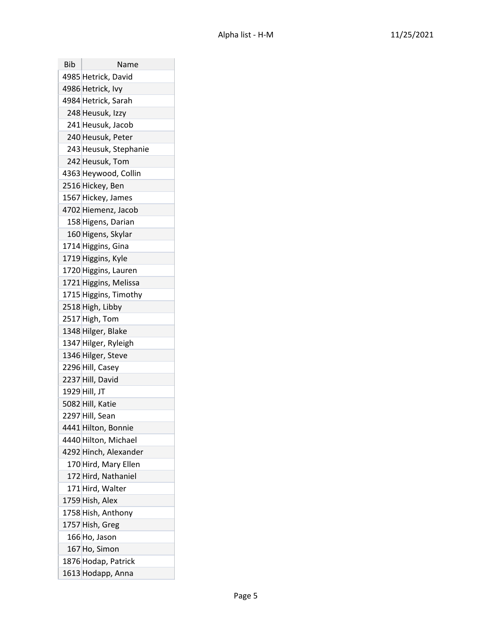| Bib | Name                  |
|-----|-----------------------|
|     | 4985 Hetrick, David   |
|     | 4986 Hetrick, Ivy     |
|     | 4984 Hetrick, Sarah   |
|     | 248 Heusuk, Izzy      |
|     | 241 Heusuk, Jacob     |
|     | 240 Heusuk, Peter     |
|     | 243 Heusuk, Stephanie |
|     | 242 Heusuk, Tom       |
|     | 4363 Heywood, Collin  |
|     | 2516 Hickey, Ben      |
|     | 1567 Hickey, James    |
|     | 4702 Hiemenz, Jacob   |
|     | 158 Higens, Darian    |
|     | 160 Higens, Skylar    |
|     | 1714 Higgins, Gina    |
|     | 1719 Higgins, Kyle    |
|     | 1720 Higgins, Lauren  |
|     | 1721 Higgins, Melissa |
|     | 1715 Higgins, Timothy |
|     | 2518 High, Libby      |
|     | 2517 High, Tom        |
|     | 1348 Hilger, Blake    |
|     | 1347 Hilger, Ryleigh  |
|     | 1346 Hilger, Steve    |
|     | 2296 Hill, Casey      |
|     | 2237 Hill, David      |
|     | 1929 Hill, JT         |
|     | 5082 Hill, Katie      |
|     | 2297 Hill, Sean       |
|     | 4441 Hilton, Bonnie   |
|     | 4440 Hilton, Michael  |
|     | 4292 Hinch, Alexander |
|     | 170 Hird, Mary Ellen  |
|     | 172 Hird, Nathaniel   |
|     | 171 Hird, Walter      |
|     | 1759 Hish, Alex       |
|     | 1758 Hish, Anthony    |
|     | 1757 Hish, Greg       |
|     | 166 Ho, Jason         |
|     | 167 Ho, Simon         |
|     | 1876 Hodap, Patrick   |
|     | 1613 Hodapp, Anna     |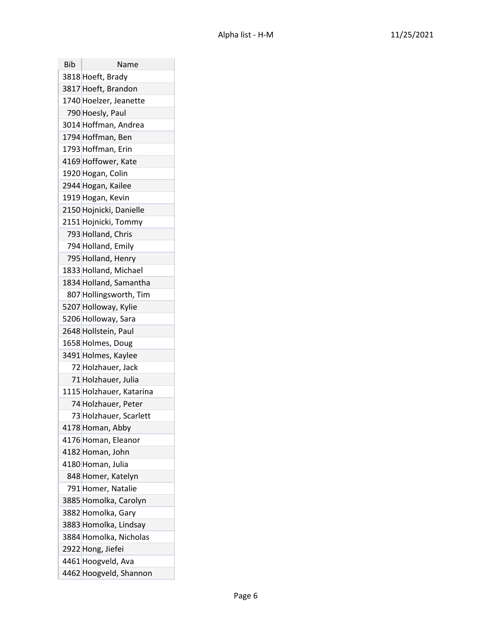| Bib | Name                     |
|-----|--------------------------|
|     | 3818 Hoeft, Brady        |
|     | 3817 Hoeft, Brandon      |
|     | 1740 Hoelzer, Jeanette   |
|     | 790 Hoesly, Paul         |
|     | 3014 Hoffman, Andrea     |
|     | 1794 Hoffman, Ben        |
|     | 1793 Hoffman, Erin       |
|     | 4169 Hoffower, Kate      |
|     | 1920 Hogan, Colin        |
|     | 2944 Hogan, Kailee       |
|     | 1919 Hogan, Kevin        |
|     | 2150 Hojnicki, Danielle  |
|     | 2151 Hojnicki, Tommy     |
|     | 793 Holland, Chris       |
|     | 794 Holland, Emily       |
|     | 795 Holland, Henry       |
|     | 1833 Holland, Michael    |
|     | 1834 Holland, Samantha   |
|     | 807 Hollingsworth, Tim   |
|     | 5207 Holloway, Kylie     |
|     | 5206 Holloway, Sara      |
|     | 2648 Hollstein, Paul     |
|     | 1658 Holmes, Doug        |
|     | 3491 Holmes, Kaylee      |
|     | 72 Holzhauer, Jack       |
|     | 71 Holzhauer, Julia      |
|     | 1115 Holzhauer, Katarina |
|     | 74 Holzhauer, Peter      |
|     | 73 Holzhauer, Scarlett   |
|     | 4178 Homan, Abby         |
|     | 4176 Homan, Eleanor      |
|     | 4182 Homan, John         |
|     | 4180 Homan, Julia        |
|     | 848 Homer, Katelyn       |
|     | 791 Homer, Natalie       |
|     | 3885 Homolka, Carolyn    |
|     | 3882 Homolka, Gary       |
|     | 3883 Homolka, Lindsay    |
|     | 3884 Homolka, Nicholas   |
|     | 2922 Hong, Jiefei        |
|     | 4461 Hoogveld, Ava       |
|     | 4462 Hoogveld, Shannon   |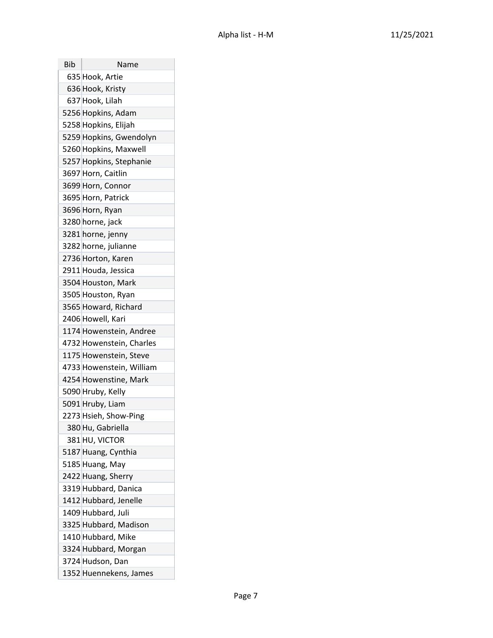| Bib | Name                     |
|-----|--------------------------|
|     | 635 Hook, Artie          |
|     | 636 Hook, Kristy         |
|     | 637 Hook, Lilah          |
|     | 5256 Hopkins, Adam       |
|     | 5258 Hopkins, Elijah     |
|     | 5259 Hopkins, Gwendolyn  |
|     | 5260 Hopkins, Maxwell    |
|     | 5257 Hopkins, Stephanie  |
|     | 3697 Horn, Caitlin       |
|     | 3699 Horn, Connor        |
|     | 3695 Horn, Patrick       |
|     | 3696 Horn, Ryan          |
|     | 3280 horne, jack         |
|     | 3281 horne, jenny        |
|     | 3282 horne, julianne     |
|     | 2736 Horton, Karen       |
|     | 2911 Houda, Jessica      |
|     | 3504 Houston, Mark       |
|     | 3505 Houston, Ryan       |
|     | 3565 Howard, Richard     |
|     | 2406 Howell, Kari        |
|     | 1174 Howenstein, Andree  |
|     | 4732 Howenstein, Charles |
|     | 1175 Howenstein, Steve   |
|     | 4733 Howenstein, William |
|     | 4254 Howenstine, Mark    |
|     | 5090 Hruby, Kelly        |
|     | 5091 Hruby, Liam         |
|     | 2273 Hsieh, Show-Ping    |
|     | 380 Hu, Gabriella        |
|     | 381 HU, VICTOR           |
|     | 5187 Huang, Cynthia      |
|     | 5185 Huang, May          |
|     | 2422 Huang, Sherry       |
|     | 3319 Hubbard, Danica     |
|     | 1412 Hubbard, Jenelle    |
|     | 1409 Hubbard, Juli       |
|     | 3325 Hubbard, Madison    |
|     | 1410 Hubbard, Mike       |
|     | 3324 Hubbard, Morgan     |
|     | 3724 Hudson, Dan         |
|     | 1352 Huennekens, James   |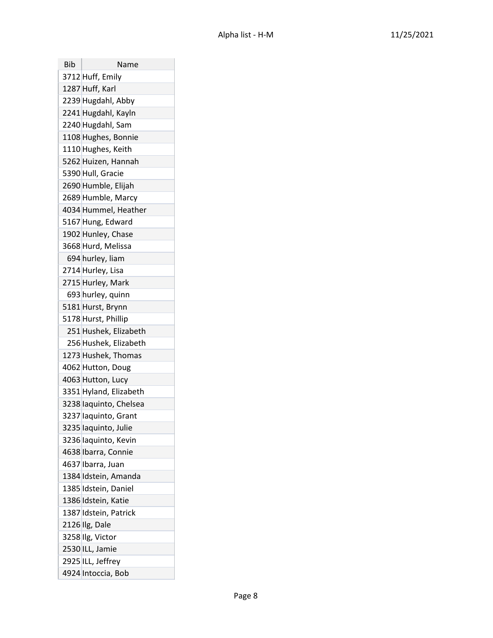| Bib | Name                   |
|-----|------------------------|
|     | 3712 Huff, Emily       |
|     | 1287 Huff, Karl        |
|     | 2239 Hugdahl, Abby     |
|     | 2241 Hugdahl, Kayln    |
|     | 2240 Hugdahl, Sam      |
|     | 1108 Hughes, Bonnie    |
|     | 1110 Hughes, Keith     |
|     | 5262 Huizen, Hannah    |
|     | 5390 Hull, Gracie      |
|     | 2690 Humble, Elijah    |
|     | 2689 Humble, Marcy     |
|     | 4034 Hummel, Heather   |
|     | 5167 Hung, Edward      |
|     | 1902 Hunley, Chase     |
|     | 3668 Hurd, Melissa     |
|     | 694 hurley, liam       |
|     | 2714 Hurley, Lisa      |
|     | 2715 Hurley, Mark      |
|     | 693 hurley, quinn      |
|     | 5181 Hurst, Brynn      |
|     | 5178 Hurst, Phillip    |
|     | 251 Hushek, Elizabeth  |
|     | 256 Hushek, Elizabeth  |
|     | 1273 Hushek, Thomas    |
|     | 4062 Hutton, Doug      |
|     | 4063 Hutton, Lucy      |
|     | 3351 Hyland, Elizabeth |
|     | 3238 laquinto, Chelsea |
|     | 3237 laquinto, Grant   |
|     | 3235 laquinto, Julie   |
|     | 3236 laquinto, Kevin   |
|     | 4638 Ibarra, Connie    |
|     | 4637 Ibarra, Juan      |
|     | 1384 Idstein, Amanda   |
|     | 1385 Idstein, Daniel   |
|     | 1386 Idstein, Katie    |
|     | 1387 Idstein, Patrick  |
|     | 2126 Ilg, Dale         |
|     | 3258 Ilg, Victor       |
|     | 2530 ILL, Jamie        |
|     | 2925 ILL, Jeffrey      |
|     | 4924 Intoccia, Bob     |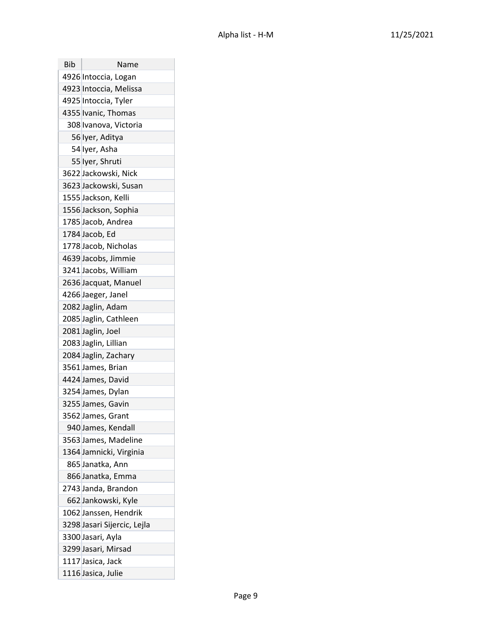| Bib | Name                        |
|-----|-----------------------------|
|     | 4926 Intoccia, Logan        |
|     | 4923 Intoccia, Melissa      |
|     | 4925 Intoccia, Tyler        |
|     | 4355 Ivanic, Thomas         |
|     | 308 Ivanova, Victoria       |
|     | 56 Iyer, Aditya             |
|     | 54 Iyer, Asha               |
|     | 55 Iyer, Shruti             |
|     | 3622 Jackowski, Nick        |
|     | 3623 Jackowski, Susan       |
|     | 1555 Jackson, Kelli         |
|     | 1556 Jackson, Sophia        |
|     | 1785 Jacob, Andrea          |
|     | 1784 Jacob, Ed              |
|     | 1778 Jacob, Nicholas        |
|     | 4639 Jacobs, Jimmie         |
|     | 3241 Jacobs, William        |
|     | 2636 Jacquat, Manuel        |
|     | 4266 Jaeger, Janel          |
|     | 2082 Jaglin, Adam           |
|     | 2085 Jaglin, Cathleen       |
|     | 2081 Jaglin, Joel           |
|     | 2083 Jaglin, Lillian        |
|     | 2084 Jaglin, Zachary        |
|     | 3561 James, Brian           |
|     | 4424 James, David           |
|     | 3254 James, Dylan           |
|     | 3255 James, Gavin           |
|     | 3562 James, Grant           |
|     | 940 James, Kendall          |
|     | 3563 James, Madeline        |
|     | 1364 Jamnicki, Virginia     |
|     | 865 Janatka, Ann            |
|     | 866 Janatka, Emma           |
|     | 2743 Janda, Brandon         |
|     | 662 Jankowski, Kyle         |
|     | 1062 Janssen, Hendrik       |
|     | 3298 Jasari Sijercic, Lejla |
|     | 3300 Jasari, Ayla           |
|     | 3299 Jasari, Mirsad         |
|     | 1117 Jasica, Jack           |
|     | 1116 Jasica, Julie          |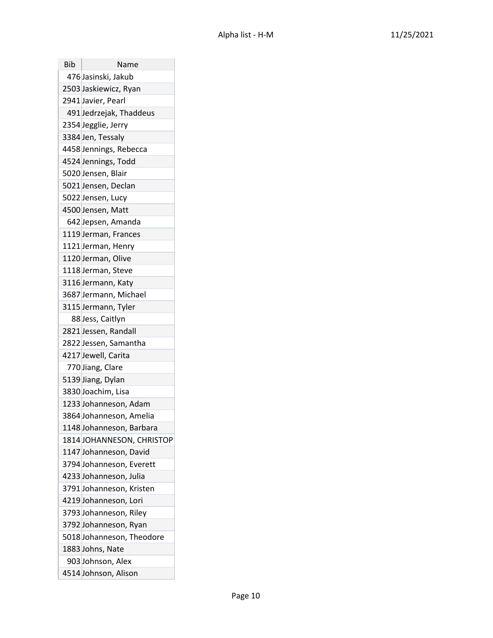| <b>Bib</b> | Name                      |
|------------|---------------------------|
|            | 476 Jasinski, Jakub       |
|            | 2503 Jaskiewicz, Ryan     |
|            | 2941 Javier, Pearl        |
|            | 491 Jedrzejak, Thaddeus   |
|            | 2354 Jegglie, Jerry       |
|            | 3384 Jen, Tessaly         |
|            | 4458 Jennings, Rebecca    |
|            | 4524 Jennings, Todd       |
|            | 5020 Jensen, Blair        |
|            | 5021 Jensen, Declan       |
|            | 5022 Jensen, Lucy         |
|            | 4500 Jensen, Matt         |
|            | 642 Jepsen, Amanda        |
|            | 1119 Jerman, Frances      |
|            | 1121 Jerman, Henry        |
|            | 1120 Jerman, Olive        |
|            | 1118 Jerman, Steve        |
|            | 3116 Jermann, Katy        |
|            | 3687 Jermann, Michael     |
|            | 3115 Jermann, Tyler       |
|            | 88 Jess, Caitlyn          |
|            | 2821 Jessen, Randall      |
|            | 2822 Jessen, Samantha     |
|            | 4217 Jewell, Carita       |
|            | 770 Jiang, Clare          |
|            | 5139 Jiang, Dylan         |
|            | 3830 Joachim, Lisa        |
|            | 1233 Johanneson, Adam     |
|            | 3864 Johanneson, Amelia   |
|            | 1148 Johanneson, Barbara  |
|            | 1814 JOHANNESON, CHRISTOP |
|            | 1147 Johanneson, David    |
|            | 3794 Johanneson, Everett  |
|            | 4233 Johanneson, Julia    |
|            | 3791 Johanneson, Kristen  |
|            | 4219 Johanneson, Lori     |
|            | 3793 Johanneson, Riley    |
|            | 3792 Johanneson, Ryan     |
|            | 5018 Johanneson, Theodore |
|            | 1883 Johns, Nate          |
|            | 903 Johnson, Alex         |
|            | 4514 Johnson, Alison      |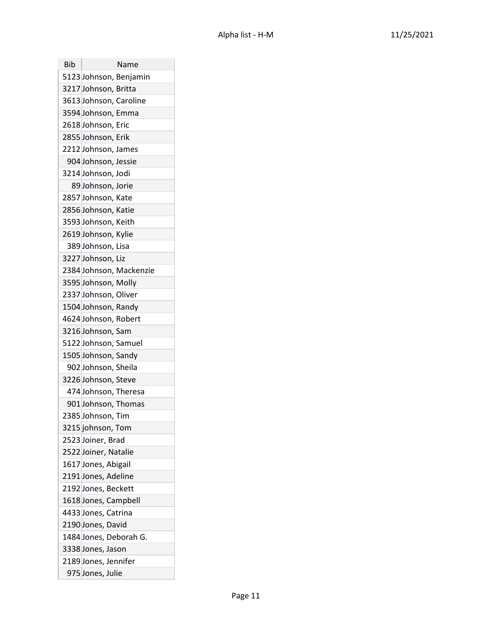| Bib | Name                    |
|-----|-------------------------|
|     | 5123 Johnson, Benjamin  |
|     | 3217 Johnson, Britta    |
|     | 3613 Johnson, Caroline  |
|     | 3594 Johnson, Emma      |
|     | 2618 Johnson, Eric      |
|     | 2855 Johnson, Erik      |
|     | 2212 Johnson, James     |
|     | 904 Johnson, Jessie     |
|     | 3214 Johnson, Jodi      |
|     | 89 Johnson, Jorie       |
|     | 2857 Johnson, Kate      |
|     | 2856 Johnson, Katie     |
|     | 3593 Johnson, Keith     |
|     | 2619 Johnson, Kylie     |
|     | 389 Johnson, Lisa       |
|     | 3227 Johnson, Liz       |
|     | 2384 Johnson, Mackenzie |
|     | 3595 Johnson, Molly     |
|     | 2337 Johnson, Oliver    |
|     | 1504 Johnson, Randy     |
|     | 4624 Johnson, Robert    |
|     | 3216 Johnson, Sam       |
|     | 5122 Johnson, Samuel    |
|     | 1505 Johnson, Sandy     |
|     | 902 Johnson, Sheila     |
|     | 3226 Johnson, Steve     |
|     | 474 Johnson, Theresa    |
|     | 901 Johnson, Thomas     |
|     | 2385 Johnson, Tim       |
|     | 3215 johnson, Tom       |
|     | 2523 Joiner, Brad       |
|     | 2522 Joiner, Natalie    |
|     | 1617 Jones, Abigail     |
|     | 2191 Jones, Adeline     |
|     | 2192 Jones, Beckett     |
|     | 1618 Jones, Campbell    |
|     | 4433 Jones, Catrina     |
|     | 2190 Jones, David       |
|     | 1484 Jones, Deborah G.  |
|     | 3338 Jones, Jason       |
|     | 2189 Jones, Jennifer    |
|     | 975 Jones, Julie        |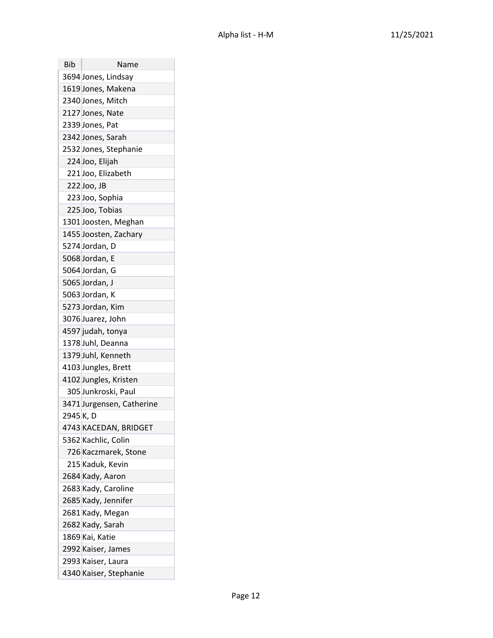| Bib       | Name                      |
|-----------|---------------------------|
|           | 3694 Jones, Lindsay       |
|           | 1619 Jones, Makena        |
|           | 2340 Jones, Mitch         |
|           | 2127 Jones, Nate          |
|           | 2339 Jones, Pat           |
|           | 2342 Jones, Sarah         |
|           | 2532 Jones, Stephanie     |
|           | 224 Joo, Elijah           |
|           | 221 Joo, Elizabeth        |
|           | 222 Joo, JB               |
|           | 223 Joo, Sophia           |
|           | 225 Joo, Tobias           |
|           | 1301 Joosten, Meghan      |
|           | 1455 Joosten, Zachary     |
|           | 5274 Jordan, D            |
|           | 5068 Jordan, E            |
|           | 5064 Jordan, G            |
|           | 5065 Jordan, J            |
|           | 5063 Jordan, K            |
|           | 5273 Jordan, Kim          |
|           | 3076 Juarez, John         |
|           | 4597 judah, tonya         |
|           | 1378 Juhl, Deanna         |
|           | 1379 Juhl, Kenneth        |
|           | 4103 Jungles, Brett       |
|           | 4102 Jungles, Kristen     |
|           | 305 Junkroski, Paul       |
|           | 3471 Jurgensen, Catherine |
| 2945 K, D |                           |
|           | 4743 KACEDAN, BRIDGET     |
|           | 5362 Kachlic, Colin       |
|           | 726 Kaczmarek, Stone      |
|           | 215 Kaduk, Kevin          |
|           | 2684 Kady, Aaron          |
|           | 2683 Kady, Caroline       |
|           | 2685 Kady, Jennifer       |
|           | 2681 Kady, Megan          |
|           | 2682 Kady, Sarah          |
|           | 1869 Kai, Katie           |
|           | 2992 Kaiser, James        |
|           | 2993 Kaiser, Laura        |
|           | 4340 Kaiser, Stephanie    |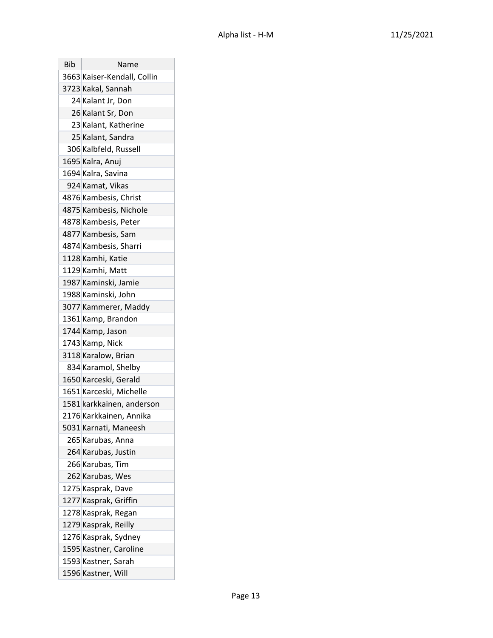| Bib | Name                        |
|-----|-----------------------------|
|     | 3663 Kaiser-Kendall, Collin |
|     | 3723 Kakal, Sannah          |
|     | 24 Kalant Jr, Don           |
|     | 26 Kalant Sr, Don           |
|     | 23 Kalant, Katherine        |
|     | 25 Kalant, Sandra           |
|     | 306 Kalbfeld, Russell       |
|     | 1695 Kalra, Anuj            |
|     | 1694 Kalra, Savina          |
|     | 924 Kamat, Vikas            |
|     | 4876 Kambesis, Christ       |
|     | 4875 Kambesis, Nichole      |
|     | 4878 Kambesis, Peter        |
|     | 4877 Kambesis, Sam          |
|     | 4874 Kambesis, Sharri       |
|     | 1128 Kamhi, Katie           |
|     | 1129 Kamhi, Matt            |
|     | 1987 Kaminski, Jamie        |
|     | 1988 Kaminski, John         |
|     | 3077 Kammerer, Maddy        |
|     | 1361 Kamp, Brandon          |
|     | 1744 Kamp, Jason            |
|     | 1743 Kamp, Nick             |
|     | 3118 Karalow, Brian         |
|     | 834 Karamol, Shelby         |
|     | 1650 Karceski, Gerald       |
|     | 1651 Karceski, Michelle     |
|     | 1581 karkkainen, anderson   |
|     | 2176 Karkkainen, Annika     |
|     | 5031 Karnati, Maneesh       |
|     | 265 Karubas, Anna           |
|     | 264 Karubas, Justin         |
|     | 266 Karubas, Tim            |
|     | 262 Karubas, Wes            |
|     | 1275 Kasprak, Dave          |
|     | 1277 Kasprak, Griffin       |
|     | 1278 Kasprak, Regan         |
|     | 1279 Kasprak, Reilly        |
|     | 1276 Kasprak, Sydney        |
|     | 1595 Kastner, Caroline      |
|     | 1593 Kastner, Sarah         |
|     | 1596 Kastner, Will          |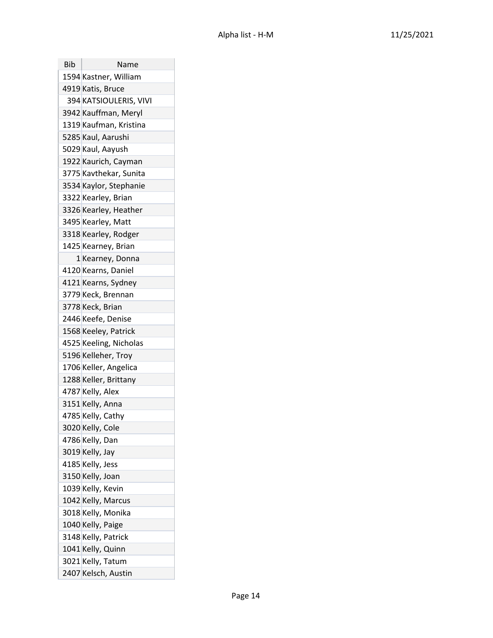| <b>Bib</b> | Name                   |
|------------|------------------------|
|            | 1594 Kastner, William  |
|            | 4919 Katis, Bruce      |
|            | 394 KATSIOULERIS, VIVI |
|            | 3942 Kauffman, Meryl   |
|            | 1319 Kaufman, Kristina |
|            | 5285 Kaul, Aarushi     |
|            | 5029 Kaul, Aayush      |
|            | 1922 Kaurich, Cayman   |
|            | 3775 Kavthekar, Sunita |
|            | 3534 Kaylor, Stephanie |
|            | 3322 Kearley, Brian    |
|            | 3326 Kearley, Heather  |
|            | 3495 Kearley, Matt     |
|            | 3318 Kearley, Rodger   |
|            | 1425 Kearney, Brian    |
|            | 1 Kearney, Donna       |
|            | 4120 Kearns, Daniel    |
|            | 4121 Kearns, Sydney    |
|            | 3779 Keck, Brennan     |
|            | 3778 Keck, Brian       |
|            | 2446 Keefe, Denise     |
|            | 1568 Keeley, Patrick   |
|            | 4525 Keeling, Nicholas |
|            | 5196 Kelleher, Troy    |
|            | 1706 Keller, Angelica  |
|            | 1288 Keller, Brittany  |
|            | 4787 Kelly, Alex       |
|            | 3151 Kelly, Anna       |
|            | 4785 Kelly, Cathy      |
|            | 3020 Kelly, Cole       |
|            | 4786 Kelly, Dan        |
|            | 3019 Kelly, Jay        |
|            | 4185 Kelly, Jess       |
|            | 3150 Kelly, Joan       |
|            | 1039 Kelly, Kevin      |
|            | 1042 Kelly, Marcus     |
|            | 3018 Kelly, Monika     |
|            | 1040 Kelly, Paige      |
|            | 3148 Kelly, Patrick    |
|            | 1041 Kelly, Quinn      |
|            | 3021 Kelly, Tatum      |
|            | 2407 Kelsch, Austin    |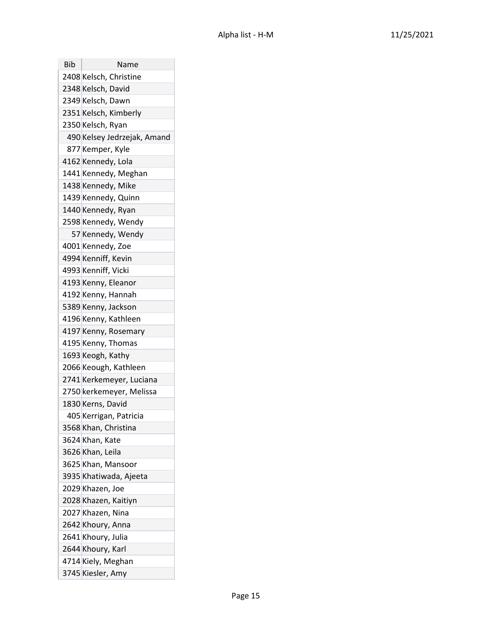| <b>Bib</b> | Name                        |
|------------|-----------------------------|
|            | 2408 Kelsch, Christine      |
|            | 2348 Kelsch, David          |
|            | 2349 Kelsch, Dawn           |
|            | 2351 Kelsch, Kimberly       |
|            | 2350 Kelsch, Ryan           |
|            | 490 Kelsey Jedrzejak, Amand |
|            | 877 Kemper, Kyle            |
|            | 4162 Kennedy, Lola          |
|            | 1441 Kennedy, Meghan        |
|            | 1438 Kennedy, Mike          |
|            | 1439 Kennedy, Quinn         |
|            | 1440 Kennedy, Ryan          |
|            | 2598 Kennedy, Wendy         |
|            | 57 Kennedy, Wendy           |
|            | 4001 Kennedy, Zoe           |
|            | 4994 Kenniff, Kevin         |
|            | 4993 Kenniff, Vicki         |
|            | 4193 Kenny, Eleanor         |
|            | 4192 Kenny, Hannah          |
|            | 5389 Kenny, Jackson         |
|            | 4196 Kenny, Kathleen        |
|            | 4197 Kenny, Rosemary        |
|            | 4195 Kenny, Thomas          |
|            | 1693 Keogh, Kathy           |
|            | 2066 Keough, Kathleen       |
|            | 2741 Kerkemeyer, Luciana    |
|            | 2750 kerkemeyer, Melissa    |
|            | 1830 Kerns, David           |
|            | 405 Kerrigan, Patricia      |
|            | 3568 Khan, Christina        |
|            | 3624 Khan, Kate             |
|            | 3626 Khan, Leila            |
|            | 3625 Khan, Mansoor          |
|            | 3935 Khatiwada, Ajeeta      |
|            | 2029 Khazen, Joe            |
|            | 2028 Khazen, Kaitiyn        |
|            | 2027 Khazen, Nina           |
|            | 2642 Khoury, Anna           |
|            | 2641 Khoury, Julia          |
|            | 2644 Khoury, Karl           |
|            | 4714 Kiely, Meghan          |
|            | 3745 Kiesler, Amy           |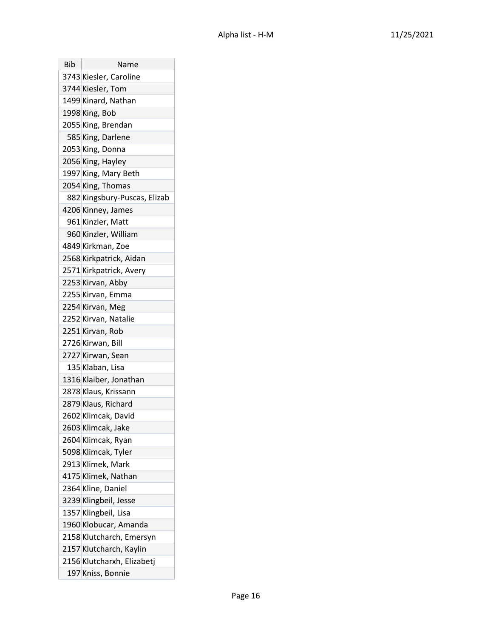| Bib | Name                         |
|-----|------------------------------|
|     | 3743 Kiesler, Caroline       |
|     | 3744 Kiesler, Tom            |
|     | 1499 Kinard, Nathan          |
|     | 1998 King, Bob               |
|     | 2055 King, Brendan           |
|     | 585 King, Darlene            |
|     | 2053 King, Donna             |
|     | 2056 King, Hayley            |
|     | 1997 King, Mary Beth         |
|     | 2054 King, Thomas            |
|     | 882 Kingsbury-Puscas, Elizab |
|     | 4206 Kinney, James           |
|     | 961 Kinzler, Matt            |
|     | 960 Kinzler, William         |
|     | 4849 Kirkman, Zoe            |
|     | 2568 Kirkpatrick, Aidan      |
|     | 2571 Kirkpatrick, Avery      |
|     | 2253 Kirvan, Abby            |
|     | 2255 Kirvan, Emma            |
|     | 2254 Kirvan, Meg             |
|     | 2252 Kirvan, Natalie         |
|     | 2251 Kirvan, Rob             |
|     | 2726 Kirwan, Bill            |
|     | 2727 Kirwan, Sean            |
|     | 135 Klaban, Lisa             |
|     | 1316 Klaiber, Jonathan       |
|     | 2878 Klaus, Krissann         |
|     | 2879 Klaus, Richard          |
|     | 2602 Klimcak, David          |
|     | 2603 Klimcak, Jake           |
|     | 2604 Klimcak, Ryan           |
|     | 5098 Klimcak, Tyler          |
|     | 2913 Klimek, Mark            |
|     | 4175 Klimek, Nathan          |
|     | 2364 Kline, Daniel           |
|     | 3239 Klingbeil, Jesse        |
|     | 1357 Klingbeil, Lisa         |
|     | 1960 Klobucar, Amanda        |
|     | 2158 Klutcharch, Emersyn     |
|     | 2157 Klutcharch, Kaylin      |
|     | 2156 Klutcharxh, Elizabetj   |
|     | 197 Kniss, Bonnie            |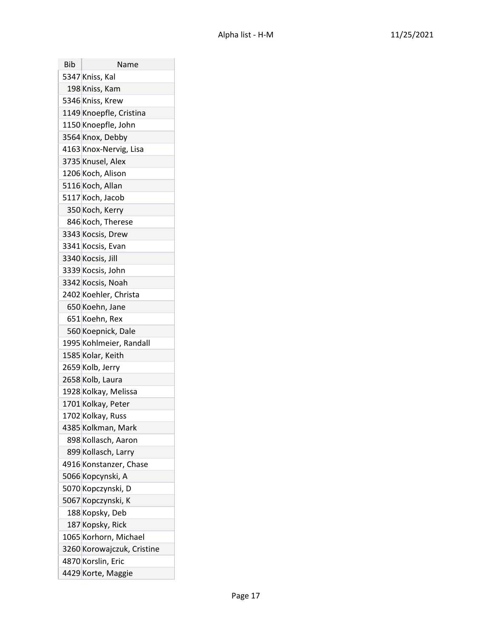| Bib | Name                       |
|-----|----------------------------|
|     | 5347 Kniss, Kal            |
|     | 198 Kniss, Kam             |
|     | 5346 Kniss, Krew           |
|     | 1149 Knoepfle, Cristina    |
|     | 1150 Knoepfle, John        |
|     | 3564 Knox, Debby           |
|     | 4163 Knox-Nervig, Lisa     |
|     | 3735 Knusel, Alex          |
|     | 1206 Koch, Alison          |
|     | 5116 Koch, Allan           |
|     | 5117 Koch, Jacob           |
|     | 350 Koch, Kerry            |
|     | 846 Koch, Therese          |
|     | 3343 Kocsis, Drew          |
|     | 3341 Kocsis, Evan          |
|     | 3340 Kocsis, Jill          |
|     | 3339 Kocsis, John          |
|     | 3342 Kocsis, Noah          |
|     | 2402 Koehler, Christa      |
|     | 650 Koehn, Jane            |
|     | 651 Koehn, Rex             |
|     | 560 Koepnick, Dale         |
|     | 1995 Kohlmeier, Randall    |
|     | 1585 Kolar, Keith          |
|     | 2659 Kolb, Jerry           |
|     | 2658 Kolb, Laura           |
|     | 1928 Kolkay, Melissa       |
|     | 1701 Kolkay, Peter         |
|     | 1702 Kolkay, Russ          |
|     | 4385 Kolkman, Mark         |
|     | 898 Kollasch, Aaron        |
|     | 899 Kollasch, Larry        |
|     | 4916 Konstanzer, Chase     |
|     | 5066 Kopcynski, A          |
|     | 5070 Kopczynski, D         |
|     | 5067 Kopczynski, K         |
|     | 188 Kopsky, Deb            |
|     | 187 Kopsky, Rick           |
|     | 1065 Korhorn, Michael      |
|     | 3260 Korowajczuk, Cristine |
|     | 4870 Korslin, Eric         |
|     | 4429 Korte, Maggie         |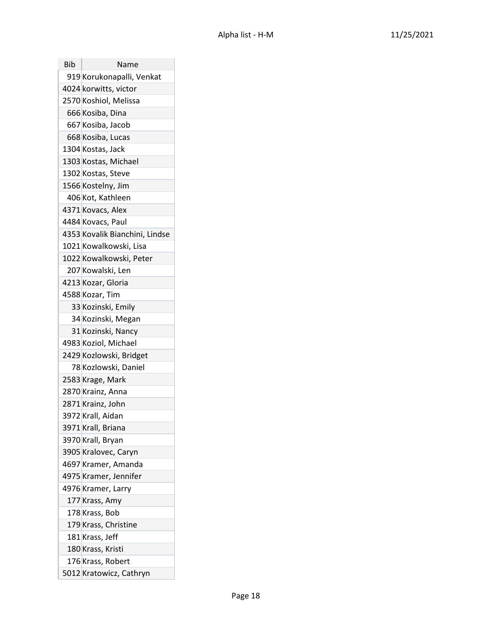| Bib | Name                           |
|-----|--------------------------------|
|     | 919 Korukonapalli, Venkat      |
|     | 4024 korwitts, victor          |
|     | 2570 Koshiol, Melissa          |
|     | 666 Kosiba, Dina               |
|     | 667 Kosiba, Jacob              |
|     | 668 Kosiba, Lucas              |
|     | 1304 Kostas, Jack              |
|     | 1303 Kostas, Michael           |
|     | 1302 Kostas, Steve             |
|     | 1566 Kostelny, Jim             |
|     | 406 Kot, Kathleen              |
|     | 4371 Kovacs, Alex              |
|     | 4484 Kovacs, Paul              |
|     | 4353 Kovalik Bianchini, Lindse |
|     | 1021 Kowalkowski, Lisa         |
|     | 1022 Kowalkowski, Peter        |
|     | 207 Kowalski, Len              |
|     | 4213 Kozar, Gloria             |
|     | 4588 Kozar, Tim                |
|     | 33 Kozinski, Emily             |
|     | 34 Kozinski, Megan             |
|     | 31 Kozinski, Nancy             |
|     | 4983 Koziol, Michael           |
|     | 2429 Kozlowski, Bridget        |
|     | 78 Kozlowski, Daniel           |
|     | 2583 Krage, Mark               |
|     | 2870 Krainz, Anna              |
|     | 2871 Krainz, John              |
|     | 3972 Krall, Aidan              |
|     | 3971 Krall, Briana             |
|     | 3970 Krall, Bryan              |
|     | 3905 Kralovec, Caryn           |
|     | 4697 Kramer, Amanda            |
|     | 4975 Kramer, Jennifer          |
|     | 4976 Kramer, Larry             |
|     | 177 Krass, Amy                 |
|     | 178 Krass, Bob                 |
|     | 179 Krass, Christine           |
|     | 181 Krass, Jeff                |
|     | 180 Krass, Kristi              |
|     | 176 Krass, Robert              |
|     | 5012 Kratowicz, Cathryn        |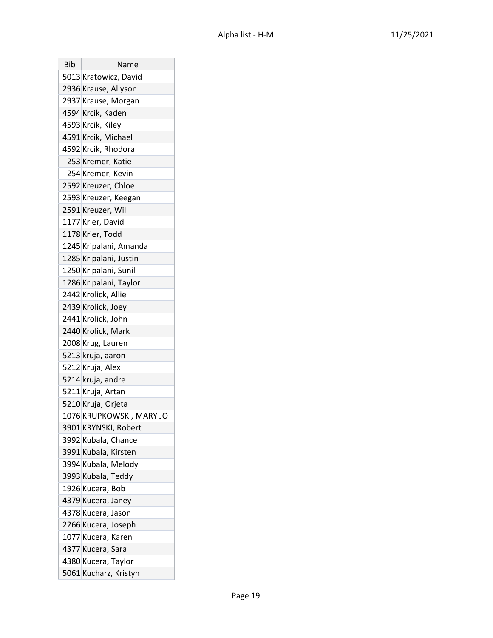| <b>Bib</b> | Name                     |
|------------|--------------------------|
|            | 5013 Kratowicz, David    |
|            | 2936 Krause, Allyson     |
|            | 2937 Krause, Morgan      |
|            | 4594 Krcik, Kaden        |
|            | 4593 Krcik, Kiley        |
|            | 4591 Krcik, Michael      |
|            | 4592 Krcik, Rhodora      |
|            | 253 Kremer, Katie        |
|            | 254 Kremer, Kevin        |
|            | 2592 Kreuzer, Chloe      |
|            | 2593 Kreuzer, Keegan     |
|            | 2591 Kreuzer, Will       |
|            | 1177 Krier, David        |
|            | 1178 Krier, Todd         |
|            | 1245 Kripalani, Amanda   |
|            | 1285 Kripalani, Justin   |
|            | 1250 Kripalani, Sunil    |
|            | 1286 Kripalani, Taylor   |
|            | 2442 Krolick, Allie      |
|            | 2439 Krolick, Joey       |
|            | 2441 Krolick, John       |
|            | 2440 Krolick, Mark       |
|            | 2008 Krug, Lauren        |
|            | 5213 kruja, aaron        |
|            | 5212 Kruja, Alex         |
|            | 5214 kruja, andre        |
|            | 5211 Kruja, Artan        |
|            | 5210 Kruja, Orjeta       |
|            | 1076 KRUPKOWSKI, MARY JO |
|            | 3901 KRYNSKI, Robert     |
|            | 3992 Kubala, Chance      |
|            | 3991 Kubala, Kirsten     |
|            | 3994 Kubala, Melody      |
|            | 3993 Kubala, Teddy       |
|            | 1926 Kucera, Bob         |
|            | 4379 Kucera, Janey       |
|            | 4378 Kucera, Jason       |
|            | 2266 Kucera, Joseph      |
|            | 1077 Kucera, Karen       |
|            | 4377 Kucera, Sara        |
|            | 4380 Kucera, Taylor      |
|            | 5061 Kucharz, Kristyn    |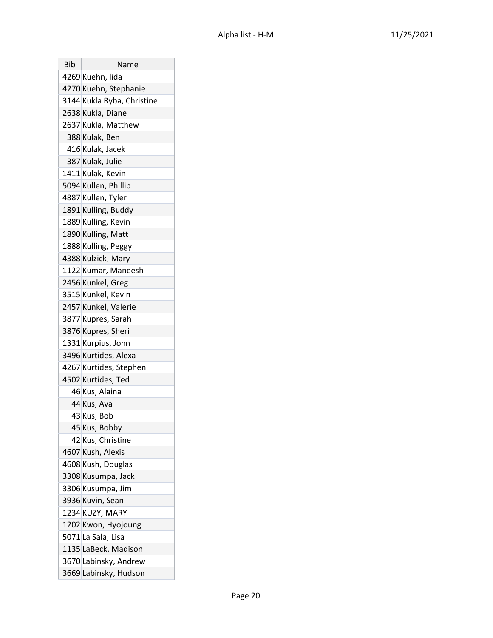| Bib | Name                       |
|-----|----------------------------|
|     | 4269 Kuehn, lida           |
|     | 4270 Kuehn, Stephanie      |
|     | 3144 Kukla Ryba, Christine |
|     | 2638 Kukla, Diane          |
|     | 2637 Kukla, Matthew        |
|     | 388 Kulak, Ben             |
|     | 416 Kulak, Jacek           |
|     | 387 Kulak, Julie           |
|     | 1411 Kulak, Kevin          |
|     | 5094 Kullen, Phillip       |
|     | 4887 Kullen, Tyler         |
|     | 1891 Kulling, Buddy        |
|     | 1889 Kulling, Kevin        |
|     | 1890 Kulling, Matt         |
|     | 1888 Kulling, Peggy        |
|     | 4388 Kulzick, Mary         |
|     | 1122 Kumar, Maneesh        |
|     | 2456 Kunkel, Greg          |
|     | 3515 Kunkel, Kevin         |
|     | 2457 Kunkel, Valerie       |
|     | 3877 Kupres, Sarah         |
|     | 3876 Kupres, Sheri         |
|     | 1331 Kurpius, John         |
|     | 3496 Kurtides, Alexa       |
|     | 4267 Kurtides, Stephen     |
|     | 4502 Kurtides, Ted         |
|     | 46 Kus, Alaina             |
|     | 44 Kus, Ava                |
|     | 43 Kus, Bob                |
|     | 45 Kus, Bobby              |
|     | 42 Kus, Christine          |
|     | 4607 Kush, Alexis          |
|     | 4608 Kush, Douglas         |
|     | 3308 Kusumpa, Jack         |
|     | 3306 Kusumpa, Jim          |
|     | 3936 Kuvin, Sean           |
|     | 1234 KUZY, MARY            |
|     | 1202 Kwon, Hyojoung        |
|     | 5071 La Sala, Lisa         |
|     | 1135 LaBeck, Madison       |
|     | 3670 Labinsky, Andrew      |
|     | 3669 Labinsky, Hudson      |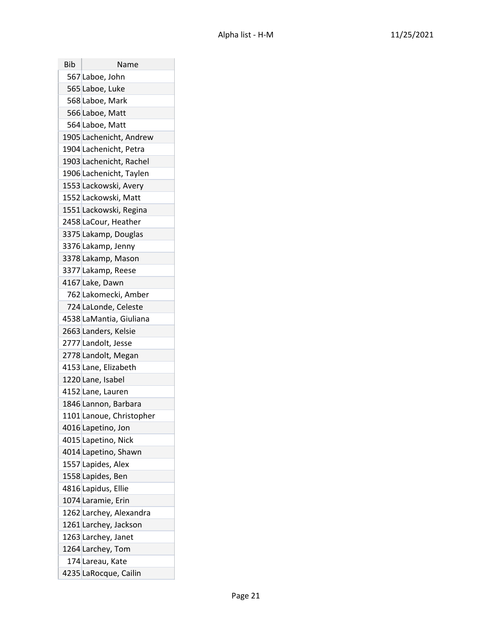| Bib | Name                     |
|-----|--------------------------|
|     | 567 Laboe, John          |
|     | 565 Laboe, Luke          |
|     | 568 Laboe, Mark          |
|     | 566 Laboe, Matt          |
|     | 564 Laboe, Matt          |
|     | 1905 Lachenicht, Andrew  |
|     | 1904 Lachenicht, Petra   |
|     | 1903 Lachenicht, Rachel  |
|     | 1906 Lachenicht, Taylen  |
|     | 1553 Lackowski, Avery    |
|     | 1552 Lackowski, Matt     |
|     | 1551 Lackowski, Regina   |
|     | 2458 LaCour, Heather     |
|     | 3375 Lakamp, Douglas     |
|     | 3376 Lakamp, Jenny       |
|     | 3378 Lakamp, Mason       |
|     | 3377 Lakamp, Reese       |
|     | 4167 Lake, Dawn          |
|     | 762 Lakomecki, Amber     |
|     | 724 LaLonde, Celeste     |
|     | 4538 LaMantia, Giuliana  |
|     | 2663 Landers, Kelsie     |
|     | 2777 Landolt, Jesse      |
|     | 2778 Landolt, Megan      |
|     | 4153 Lane, Elizabeth     |
|     | 1220 Lane, Isabel        |
|     | 4152 Lane, Lauren        |
|     | 1846 Lannon, Barbara     |
|     | 1101 Lanoue, Christopher |
|     | 4016 Lapetino, Jon       |
|     | 4015 Lapetino, Nick      |
|     | 4014 Lapetino, Shawn     |
|     | 1557 Lapides, Alex       |
|     | 1558 Lapides, Ben        |
|     | 4816 Lapidus, Ellie      |
|     | 1074 Laramie, Erin       |
|     | 1262 Larchey, Alexandra  |
|     | 1261 Larchey, Jackson    |
|     | 1263 Larchey, Janet      |
|     | 1264 Larchey, Tom        |
|     | 174 Lareau, Kate         |
|     | 4235 LaRocque, Cailin    |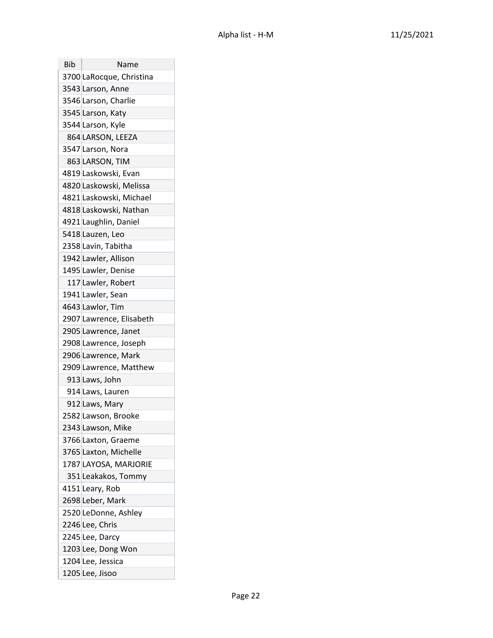| Bib | Name                     |
|-----|--------------------------|
|     | 3700 LaRocque, Christina |
|     | 3543 Larson, Anne        |
|     | 3546 Larson, Charlie     |
|     | 3545 Larson, Katy        |
|     | 3544 Larson, Kyle        |
|     | 864 LARSON, LEEZA        |
|     | 3547 Larson, Nora        |
|     | 863 LARSON, TIM          |
|     | 4819 Laskowski, Evan     |
|     | 4820 Laskowski, Melissa  |
|     | 4821 Laskowski, Michael  |
|     | 4818 Laskowski, Nathan   |
|     | 4921 Laughlin, Daniel    |
|     | 5418 Lauzen, Leo         |
|     | 2358 Lavin, Tabitha      |
|     | 1942 Lawler, Allison     |
|     | 1495 Lawler, Denise      |
|     | 117 Lawler, Robert       |
|     | 1941 Lawler, Sean        |
|     | 4643 Lawlor, Tim         |
|     | 2907 Lawrence, Elisabeth |
|     | 2905 Lawrence, Janet     |
|     | 2908 Lawrence, Joseph    |
|     | 2906 Lawrence, Mark      |
|     | 2909 Lawrence, Matthew   |
|     | 913 Laws, John           |
|     | 914 Laws, Lauren         |
|     | 912 Laws, Mary           |
|     | 2582 Lawson, Brooke      |
|     | 2343 Lawson, Mike        |
|     | 3766 Laxton, Graeme      |
|     | 3765 Laxton, Michelle    |
|     | 1787 LAYOSA, MARJORIE    |
|     | 351 Leakakos, Tommy      |
|     | 4151 Leary, Rob          |
|     | 2698 Leber, Mark         |
|     | 2520 LeDonne, Ashley     |
|     | 2246 Lee, Chris          |
|     | 2245 Lee, Darcy          |
|     | 1203 Lee, Dong Won       |
|     | 1204 Lee, Jessica        |
|     | 1205 Lee, Jisoo          |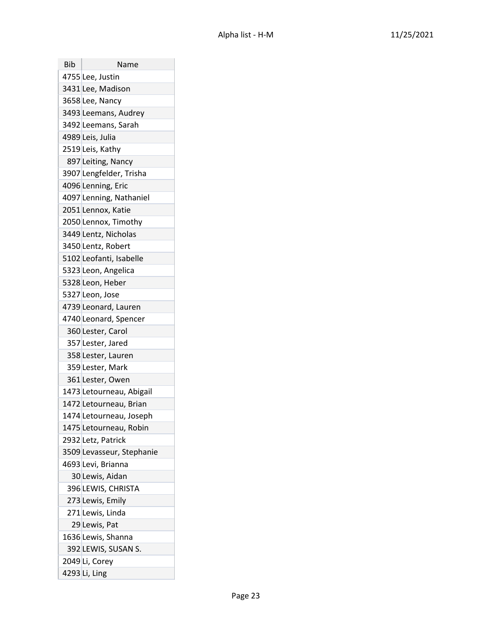| Bib | Name                      |
|-----|---------------------------|
|     | 4755 Lee, Justin          |
|     | 3431 Lee, Madison         |
|     | 3658 Lee, Nancy           |
|     | 3493 Leemans, Audrey      |
|     | 3492 Leemans, Sarah       |
|     | 4989 Leis, Julia          |
|     | 2519 Leis, Kathy          |
|     | 897 Leiting, Nancy        |
|     | 3907 Lengfelder, Trisha   |
|     | 4096 Lenning, Eric        |
|     | 4097 Lenning, Nathaniel   |
|     | 2051 Lennox, Katie        |
|     | 2050 Lennox, Timothy      |
|     | 3449 Lentz, Nicholas      |
|     | 3450 Lentz, Robert        |
|     | 5102 Leofanti, Isabelle   |
|     | 5323 Leon, Angelica       |
|     | 5328 Leon, Heber          |
|     | 5327 Leon, Jose           |
|     | 4739 Leonard, Lauren      |
|     | 4740 Leonard, Spencer     |
|     | 360 Lester, Carol         |
|     | 357 Lester, Jared         |
|     | 358 Lester, Lauren        |
|     | 359 Lester, Mark          |
|     | 361 Lester, Owen          |
|     | 1473 Letourneau, Abigail  |
|     | 1472 Letourneau, Brian    |
|     | 1474 Letourneau, Joseph   |
|     | 1475 Letourneau, Robin    |
|     | 2932 Letz, Patrick        |
|     | 3509 Levasseur, Stephanie |
|     | 4693 Levi, Brianna        |
|     | 30 Lewis, Aidan           |
|     | 396 LEWIS, CHRISTA        |
|     | 273 Lewis, Emily          |
|     | 271 Lewis, Linda          |
|     | 29 Lewis, Pat             |
|     | 1636 Lewis, Shanna        |
|     | 392 LEWIS, SUSAN S.       |
|     | 2049 Li, Corey            |
|     | 4293 Li, Ling             |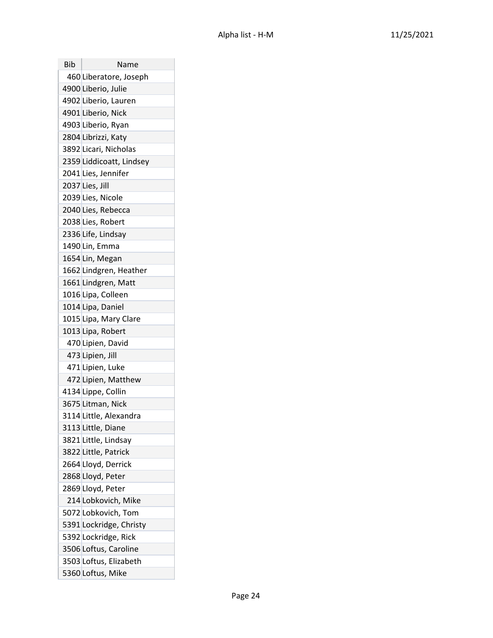| Bib | Name                     |
|-----|--------------------------|
|     | 460 Liberatore, Joseph   |
|     | 4900 Liberio, Julie      |
|     | 4902 Liberio, Lauren     |
|     | 4901 Liberio, Nick       |
|     | 4903 Liberio, Ryan       |
|     | 2804 Librizzi, Katy      |
|     | 3892 Licari, Nicholas    |
|     | 2359 Liddicoatt, Lindsey |
|     | 2041 Lies, Jennifer      |
|     | 2037 Lies, Jill          |
|     | 2039 Lies, Nicole        |
|     | 2040 Lies, Rebecca       |
|     | 2038 Lies, Robert        |
|     | 2336 Life, Lindsay       |
|     | 1490 Lin, Emma           |
|     | 1654 Lin, Megan          |
|     | 1662 Lindgren, Heather   |
|     | 1661 Lindgren, Matt      |
|     | 1016 Lipa, Colleen       |
|     | 1014 Lipa, Daniel        |
|     | 1015 Lipa, Mary Clare    |
|     | 1013 Lipa, Robert        |
|     | 470 Lipien, David        |
|     | 473 Lipien, Jill         |
|     | 471 Lipien, Luke         |
|     | 472 Lipien, Matthew      |
|     | 4134 Lippe, Collin       |
|     | 3675 Litman, Nick        |
|     | 3114 Little, Alexandra   |
|     | 3113 Little, Diane       |
|     | 3821 Little, Lindsay     |
|     | 3822 Little, Patrick     |
|     | 2664 Lloyd, Derrick      |
|     | 2868 Lloyd, Peter        |
|     | 2869 Lloyd, Peter        |
|     | 214 Lobkovich, Mike      |
|     | 5072 Lobkovich, Tom      |
|     | 5391 Lockridge, Christy  |
|     | 5392 Lockridge, Rick     |
|     | 3506 Loftus, Caroline    |
|     | 3503 Loftus, Elizabeth   |
|     | 5360 Loftus, Mike        |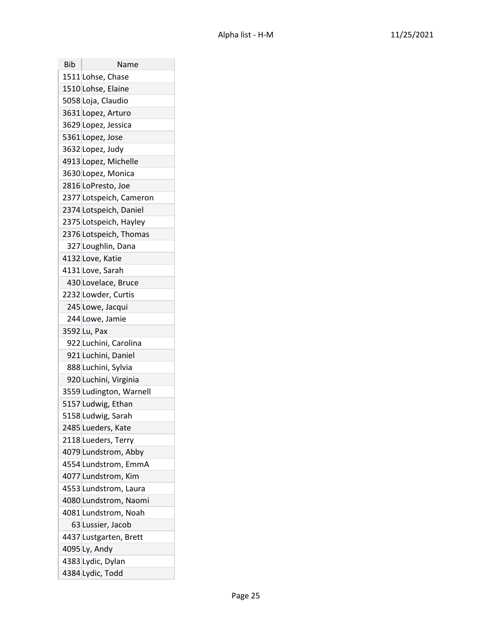| Bib | Name                    |
|-----|-------------------------|
|     | 1511 Lohse, Chase       |
|     | 1510 Lohse, Elaine      |
|     | 5058 Loja, Claudio      |
|     | 3631 Lopez, Arturo      |
|     | 3629 Lopez, Jessica     |
|     | 5361 Lopez, Jose        |
|     | 3632 Lopez, Judy        |
|     | 4913 Lopez, Michelle    |
|     | 3630 Lopez, Monica      |
|     | 2816 LoPresto, Joe      |
|     | 2377 Lotspeich, Cameron |
|     | 2374 Lotspeich, Daniel  |
|     | 2375 Lotspeich, Hayley  |
|     | 2376 Lotspeich, Thomas  |
|     | 327 Loughlin, Dana      |
|     | 4132 Love, Katie        |
|     | 4131 Love, Sarah        |
|     | 430 Lovelace, Bruce     |
|     | 2232 Lowder, Curtis     |
|     | 245 Lowe, Jacqui        |
|     | 244 Lowe, Jamie         |
|     | 3592 Lu, Pax            |
|     | 922 Luchini, Carolina   |
|     | 921 Luchini, Daniel     |
|     | 888 Luchini, Sylvia     |
|     | 920 Luchini, Virginia   |
|     | 3559 Ludington, Warnell |
|     | 5157 Ludwig, Ethan      |
|     | 5158 Ludwig, Sarah      |
|     | 2485 Lueders, Kate      |
|     | 2118 Lueders, Terry     |
|     | 4079 Lundstrom, Abby    |
|     | 4554 Lundstrom, EmmA    |
|     | 4077 Lundstrom, Kim     |
|     | 4553 Lundstrom, Laura   |
|     | 4080 Lundstrom, Naomi   |
|     | 4081 Lundstrom, Noah    |
|     | 63 Lussier, Jacob       |
|     | 4437 Lustgarten, Brett  |
|     | 4095 Ly, Andy           |
|     | 4383 Lydic, Dylan       |
|     | 4384 Lydic, Todd        |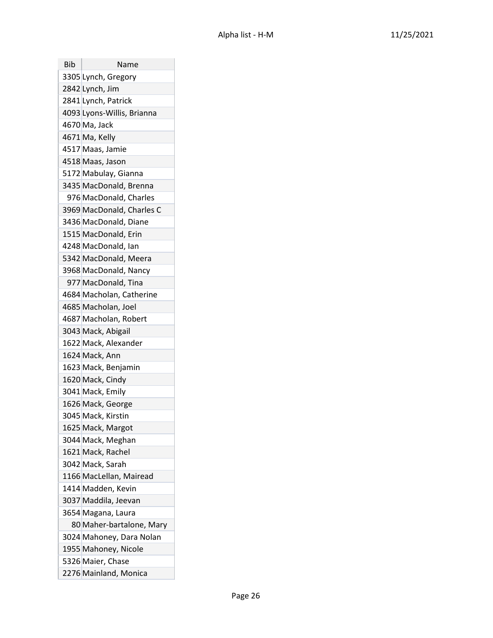| Bib | Name                       |
|-----|----------------------------|
|     | 3305 Lynch, Gregory        |
|     | 2842 Lynch, Jim            |
|     | 2841 Lynch, Patrick        |
|     | 4093 Lyons-Willis, Brianna |
|     | 4670 Ma, Jack              |
|     | 4671 Ma, Kelly             |
|     | 4517 Maas, Jamie           |
|     | 4518 Maas, Jason           |
|     | 5172 Mabulay, Gianna       |
|     | 3435 MacDonald, Brenna     |
|     | 976 MacDonald, Charles     |
|     | 3969 MacDonald, Charles C  |
|     | 3436 MacDonald, Diane      |
|     | 1515 MacDonald, Erin       |
|     | 4248 MacDonald, Ian        |
|     | 5342 MacDonald, Meera      |
|     | 3968 MacDonald, Nancy      |
|     | 977 MacDonald, Tina        |
|     | 4684 Macholan, Catherine   |
|     | 4685 Macholan, Joel        |
|     | 4687 Macholan, Robert      |
|     | 3043 Mack, Abigail         |
|     | 1622 Mack, Alexander       |
|     | 1624 Mack, Ann             |
|     | 1623 Mack, Benjamin        |
|     | 1620 Mack, Cindy           |
|     | 3041 Mack, Emily           |
|     | 1626 Mack, George          |
|     | 3045 Mack, Kirstin         |
|     | 1625 Mack, Margot          |
|     | 3044 Mack, Meghan          |
|     | 1621 Mack, Rachel          |
|     | 3042 Mack, Sarah           |
|     | 1166 MacLellan, Mairead    |
|     | 1414 Madden, Kevin         |
|     | 3037 Maddila, Jeevan       |
|     | 3654 Magana, Laura         |
|     | 80 Maher-bartalone, Mary   |
|     | 3024 Mahoney, Dara Nolan   |
|     | 1955 Mahoney, Nicole       |
|     | 5326 Maier, Chase          |
|     | 2276 Mainland, Monica      |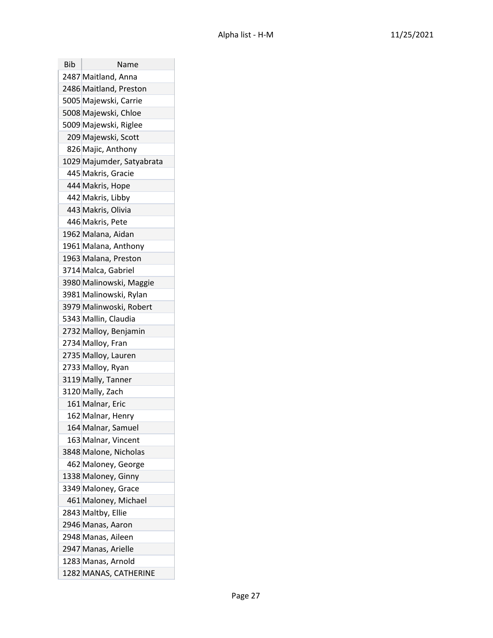| Bib | Name                      |
|-----|---------------------------|
|     | 2487 Maitland, Anna       |
|     | 2486 Maitland, Preston    |
|     | 5005 Majewski, Carrie     |
|     | 5008 Majewski, Chloe      |
|     | 5009 Majewski, Riglee     |
|     | 209 Majewski, Scott       |
|     | 826 Majic, Anthony        |
|     | 1029 Majumder, Satyabrata |
|     | 445 Makris, Gracie        |
|     | 444 Makris, Hope          |
|     | 442 Makris, Libby         |
|     | 443 Makris, Olivia        |
|     | 446 Makris, Pete          |
|     | 1962 Malana, Aidan        |
|     | 1961 Malana, Anthony      |
|     | 1963 Malana, Preston      |
|     | 3714 Malca, Gabriel       |
|     | 3980 Malinowski, Maggie   |
|     | 3981 Malinowski, Rylan    |
|     | 3979 Malinwoski, Robert   |
|     | 5343 Mallin, Claudia      |
|     | 2732 Malloy, Benjamin     |
|     | 2734 Malloy, Fran         |
|     | 2735 Malloy, Lauren       |
|     | 2733 Malloy, Ryan         |
|     | 3119 Mally, Tanner        |
|     | 3120 Mally, Zach          |
|     | 161 Malnar, Eric          |
|     | 162 Malnar, Henry         |
|     | 164 Malnar, Samuel        |
|     | 163 Malnar, Vincent       |
|     | 3848 Malone, Nicholas     |
|     | 462 Maloney, George       |
|     | 1338 Maloney, Ginny       |
|     | 3349 Maloney, Grace       |
|     | 461 Maloney, Michael      |
|     | 2843 Maltby, Ellie        |
|     | 2946 Manas, Aaron         |
|     | 2948 Manas, Aileen        |
|     | 2947 Manas, Arielle       |
|     | 1283 Manas, Arnold        |
|     | 1282 MANAS, CATHERINE     |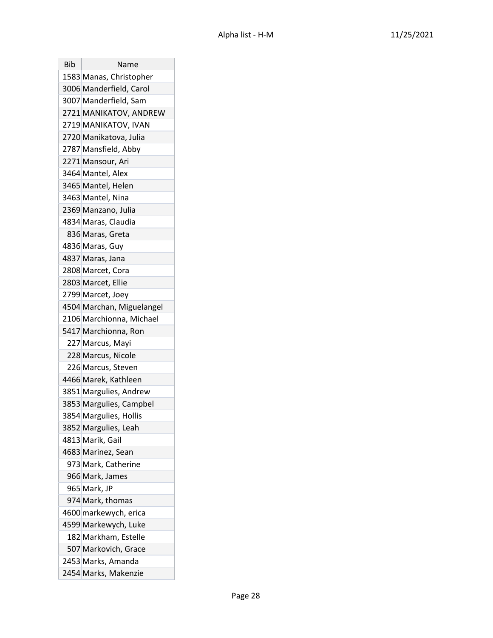| Bib | Name                      |
|-----|---------------------------|
|     | 1583 Manas, Christopher   |
|     | 3006 Manderfield, Carol   |
|     | 3007 Manderfield, Sam     |
|     | 2721 MANIKATOV, ANDREW    |
|     | 2719 MANIKATOV, IVAN      |
|     | 2720 Manikatova, Julia    |
|     | 2787 Mansfield, Abby      |
|     | 2271 Mansour, Ari         |
|     | 3464 Mantel, Alex         |
|     | 3465 Mantel, Helen        |
|     | 3463 Mantel, Nina         |
|     | 2369 Manzano, Julia       |
|     | 4834 Maras, Claudia       |
|     | 836 Maras, Greta          |
|     | 4836 Maras, Guy           |
|     | 4837 Maras, Jana          |
|     | 2808 Marcet, Cora         |
|     | 2803 Marcet, Ellie        |
|     | 2799 Marcet, Joey         |
|     | 4504 Marchan, Miguelangel |
|     | 2106 Marchionna, Michael  |
|     | 5417 Marchionna, Ron      |
|     | 227 Marcus, Mayi          |
|     | 228 Marcus, Nicole        |
|     | 226 Marcus, Steven        |
|     | 4466 Marek, Kathleen      |
|     | 3851 Margulies, Andrew    |
|     | 3853 Margulies, Campbel   |
|     | 3854 Margulies, Hollis    |
|     | 3852 Margulies, Leah      |
|     | 4813 Marik, Gail          |
|     | 4683 Marinez, Sean        |
|     | 973 Mark, Catherine       |
|     | 966 Mark, James           |
|     | 965 Mark, JP              |
|     | 974 Mark, thomas          |
|     | 4600 markewych, erica     |
|     | 4599 Markewych, Luke      |
|     | 182 Markham, Estelle      |
|     | 507 Markovich, Grace      |
|     | 2453 Marks, Amanda        |
|     | 2454 Marks, Makenzie      |
|     |                           |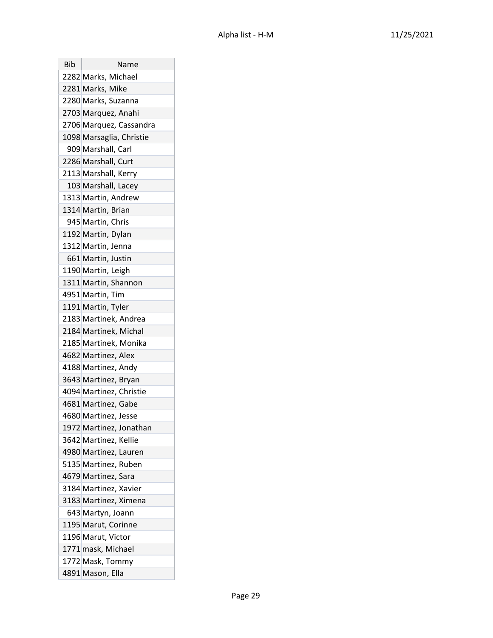| Bib | Name                     |
|-----|--------------------------|
|     | 2282 Marks, Michael      |
|     | 2281 Marks, Mike         |
|     | 2280 Marks, Suzanna      |
|     | 2703 Marquez, Anahi      |
|     | 2706 Marquez, Cassandra  |
|     | 1098 Marsaglia, Christie |
|     | 909 Marshall, Carl       |
|     | 2286 Marshall, Curt      |
|     | 2113 Marshall, Kerry     |
|     | 103 Marshall, Lacey      |
|     | 1313 Martin, Andrew      |
|     | 1314 Martin, Brian       |
|     | 945 Martin, Chris        |
|     | 1192 Martin, Dylan       |
|     | 1312 Martin, Jenna       |
|     | 661 Martin, Justin       |
|     | 1190 Martin, Leigh       |
|     | 1311 Martin, Shannon     |
|     | 4951 Martin, Tim         |
|     | 1191 Martin, Tyler       |
|     | 2183 Martinek, Andrea    |
|     | 2184 Martinek, Michal    |
|     | 2185 Martinek, Monika    |
|     | 4682 Martinez, Alex      |
|     | 4188 Martinez, Andy      |
|     | 3643 Martinez, Bryan     |
|     | 4094 Martinez, Christie  |
|     | 4681 Martinez, Gabe      |
|     | 4680 Martinez, Jesse     |
|     | 1972 Martinez, Jonathan  |
|     | 3642 Martinez, Kellie    |
|     | 4980 Martinez, Lauren    |
|     | 5135 Martinez, Ruben     |
|     | 4679 Martinez, Sara      |
|     | 3184 Martinez, Xavier    |
|     | 3183 Martinez, Ximena    |
|     | 643 Martyn, Joann        |
|     | 1195 Marut, Corinne      |
|     | 1196 Marut, Victor       |
|     | 1771 mask, Michael       |
|     | 1772 Mask, Tommy         |
|     | 4891 Mason, Ella         |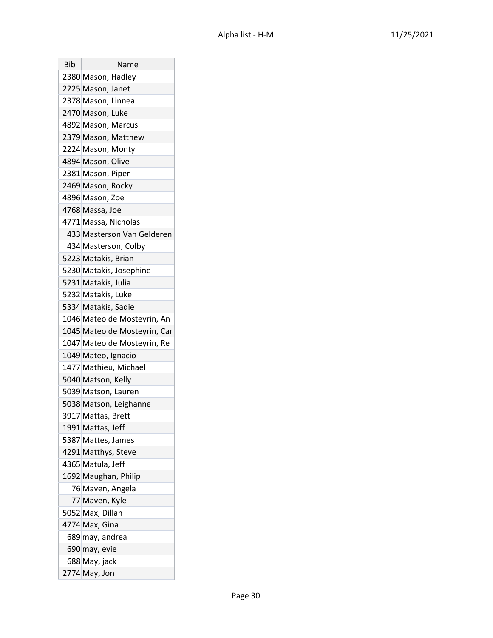| Bib | Name                         |
|-----|------------------------------|
|     | 2380 Mason, Hadley           |
|     | 2225 Mason, Janet            |
|     | 2378 Mason, Linnea           |
|     | 2470 Mason, Luke             |
|     | 4892 Mason, Marcus           |
|     | 2379 Mason, Matthew          |
|     | 2224 Mason, Monty            |
|     | 4894 Mason, Olive            |
|     | 2381 Mason, Piper            |
|     | 2469 Mason, Rocky            |
|     | 4896 Mason, Zoe              |
|     | 4768 Massa, Joe              |
|     | 4771 Massa, Nicholas         |
|     | 433 Masterson Van Gelderen   |
|     | 434 Masterson, Colby         |
|     | 5223 Matakis, Brian          |
|     | 5230 Matakis, Josephine      |
|     | 5231 Matakis, Julia          |
|     | 5232 Matakis, Luke           |
|     | 5334 Matakis, Sadie          |
|     | 1046 Mateo de Mosteyrin, An  |
|     | 1045 Mateo de Mosteyrin, Car |
|     | 1047 Mateo de Mosteyrin, Re  |
|     | 1049 Mateo, Ignacio          |
|     | 1477 Mathieu, Michael        |
|     | 5040 Matson, Kelly           |
|     | 5039 Matson, Lauren          |
|     | 5038 Matson, Leighanne       |
|     | 3917 Mattas, Brett           |
|     | 1991 Mattas, Jeff            |
|     | 5387 Mattes, James           |
|     | 4291 Matthys, Steve          |
|     | 4365 Matula, Jeff            |
|     | 1692 Maughan, Philip         |
|     | 76 Maven, Angela             |
|     | 77 Maven, Kyle               |
|     | 5052 Max, Dillan             |
|     | 4774 Max, Gina               |
|     | 689 may, andrea              |
|     | 690 may, evie                |
|     | 688 May, jack                |
|     | 2774 May, Jon                |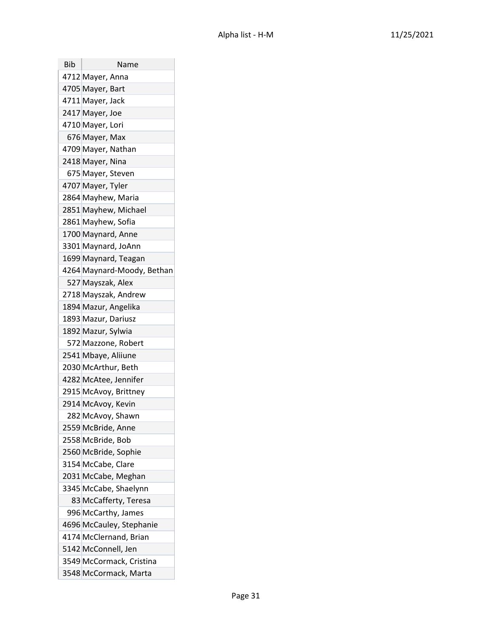| Bib | Name                       |
|-----|----------------------------|
|     | 4712 Mayer, Anna           |
|     | 4705 Mayer, Bart           |
|     | 4711 Mayer, Jack           |
|     | 2417 Mayer, Joe            |
|     | 4710 Mayer, Lori           |
|     | 676 Mayer, Max             |
|     | 4709 Mayer, Nathan         |
|     | 2418 Mayer, Nina           |
|     | 675 Mayer, Steven          |
|     | 4707 Mayer, Tyler          |
|     | 2864 Mayhew, Maria         |
|     | 2851 Mayhew, Michael       |
|     | 2861 Mayhew, Sofia         |
|     | 1700 Maynard, Anne         |
|     | 3301 Maynard, JoAnn        |
|     | 1699 Maynard, Teagan       |
|     | 4264 Maynard-Moody, Bethan |
|     | 527 Mayszak, Alex          |
|     | 2718 Mayszak, Andrew       |
|     | 1894 Mazur, Angelika       |
|     | 1893 Mazur, Dariusz        |
|     | 1892 Mazur, Sylwia         |
|     | 572 Mazzone, Robert        |
|     | 2541 Mbaye, Aliiune        |
|     | 2030 McArthur, Beth        |
|     | 4282 McAtee, Jennifer      |
|     | 2915 McAvoy, Brittney      |
|     | 2914 McAvoy, Kevin         |
|     | 282 McAvoy, Shawn          |
|     | 2559 McBride, Anne         |
|     | 2558 McBride, Bob          |
|     | 2560 McBride, Sophie       |
|     | 3154 McCabe, Clare         |
|     | 2031 McCabe, Meghan        |
|     | 3345 McCabe, Shaelynn      |
|     | 83 McCafferty, Teresa      |
|     | 996 McCarthy, James        |
|     | 4696 McCauley, Stephanie   |
|     | 4174 McClernand, Brian     |
|     | 5142 McConnell, Jen        |
|     | 3549 McCormack, Cristina   |
|     | 3548 McCormack, Marta      |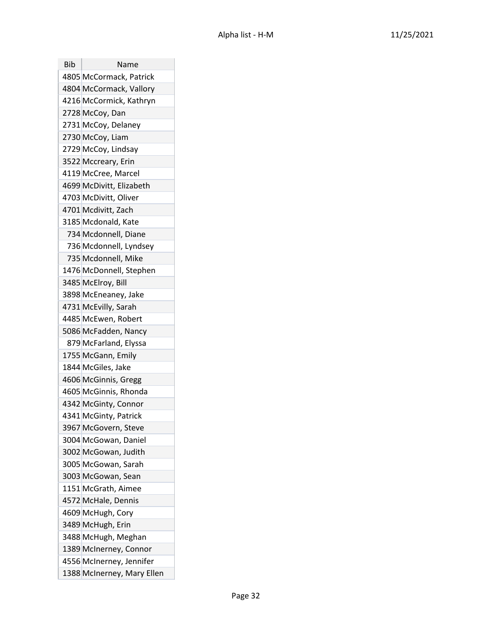| Bib | Name                       |
|-----|----------------------------|
|     | 4805 McCormack, Patrick    |
|     | 4804 McCormack, Vallory    |
|     | 4216 McCormick, Kathryn    |
|     | 2728 McCoy, Dan            |
|     | 2731 McCoy, Delaney        |
|     | 2730 McCoy, Liam           |
|     | 2729 McCoy, Lindsay        |
|     | 3522 Mccreary, Erin        |
|     | 4119 McCree, Marcel        |
|     | 4699 McDivitt, Elizabeth   |
|     | 4703 McDivitt, Oliver      |
|     | 4701 Mcdivitt, Zach        |
|     | 3185 Mcdonald, Kate        |
|     | 734 Mcdonnell, Diane       |
|     | 736 Mcdonnell, Lyndsey     |
|     | 735 Mcdonnell, Mike        |
|     | 1476 McDonnell, Stephen    |
|     | 3485 McElroy, Bill         |
|     | 3898 McEneaney, Jake       |
|     | 4731 McEvilly, Sarah       |
|     | 4485 McEwen, Robert        |
|     | 5086 McFadden, Nancy       |
|     | 879 McFarland, Elyssa      |
|     | 1755 McGann, Emily         |
|     | 1844 McGiles, Jake         |
|     | 4606 McGinnis, Gregg       |
|     | 4605 McGinnis, Rhonda      |
|     | 4342 McGinty, Connor       |
|     | 4341 McGinty, Patrick      |
|     | 3967 McGovern, Steve       |
|     | 3004 McGowan, Daniel       |
|     | 3002 McGowan, Judith       |
|     | 3005 McGowan, Sarah        |
|     | 3003 McGowan, Sean         |
|     | 1151 McGrath, Aimee        |
|     | 4572 McHale, Dennis        |
|     | 4609 McHugh, Cory          |
|     | 3489 McHugh, Erin          |
|     | 3488 McHugh, Meghan        |
|     | 1389 McInerney, Connor     |
|     | 4556 McInerney, Jennifer   |
|     | 1388 McInerney, Mary Ellen |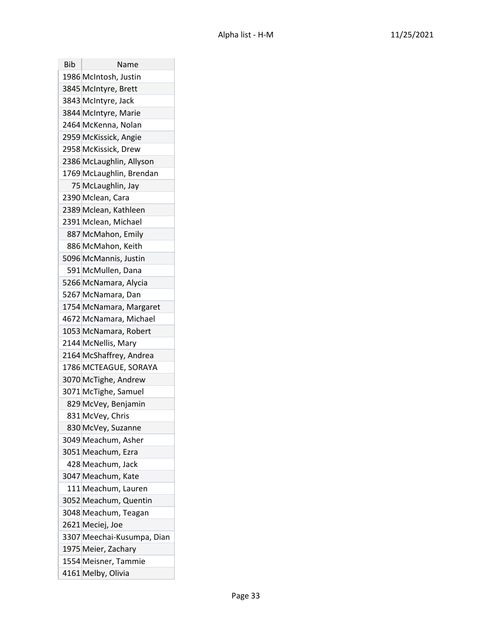| Bib | Name                       |
|-----|----------------------------|
|     | 1986 McIntosh, Justin      |
|     | 3845 McIntyre, Brett       |
|     | 3843 McIntyre, Jack        |
|     | 3844 McIntyre, Marie       |
|     | 2464 McKenna, Nolan        |
|     | 2959 McKissick, Angie      |
|     | 2958 McKissick, Drew       |
|     | 2386 McLaughlin, Allyson   |
|     | 1769 McLaughlin, Brendan   |
|     | 75 McLaughlin, Jay         |
|     | 2390 Mclean, Cara          |
|     | 2389 Mclean, Kathleen      |
|     | 2391 Mclean, Michael       |
|     | 887 McMahon, Emily         |
|     | 886 McMahon, Keith         |
|     | 5096 McMannis, Justin      |
|     | 591 McMullen, Dana         |
|     | 5266 McNamara, Alycia      |
|     | 5267 McNamara, Dan         |
|     | 1754 McNamara, Margaret    |
|     | 4672 McNamara, Michael     |
|     | 1053 McNamara, Robert      |
|     | 2144 McNellis, Mary        |
|     | 2164 McShaffrey, Andrea    |
|     | 1786 MCTEAGUE, SORAYA      |
|     | 3070 McTighe, Andrew       |
|     | 3071 McTighe, Samuel       |
|     | 829 McVey, Benjamin        |
|     | 831 McVey, Chris           |
|     | 830 McVey, Suzanne         |
|     | 3049 Meachum, Asher        |
|     | 3051 Meachum, Ezra         |
|     | 428 Meachum, Jack          |
|     | 3047 Meachum, Kate         |
|     | 111 Meachum, Lauren        |
|     | 3052 Meachum, Quentin      |
|     | 3048 Meachum, Teagan       |
|     | 2621 Meciej, Joe           |
|     | 3307 Meechai-Kusumpa, Dian |
|     | 1975 Meier, Zachary        |
|     | 1554 Meisner, Tammie       |
|     | 4161 Melby, Olivia         |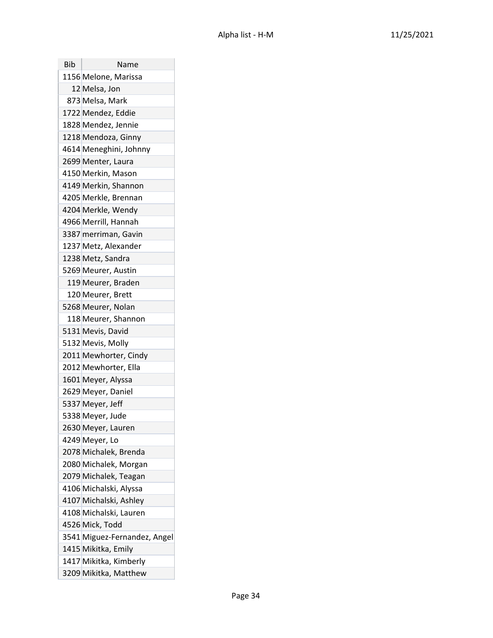| <b>Bib</b> | Name                         |
|------------|------------------------------|
|            | 1156 Melone, Marissa         |
|            | 12 Melsa, Jon                |
|            | 873 Melsa, Mark              |
|            | 1722 Mendez, Eddie           |
|            | 1828 Mendez, Jennie          |
|            | 1218 Mendoza, Ginny          |
|            | 4614 Meneghini, Johnny       |
|            | 2699 Menter, Laura           |
|            | 4150 Merkin, Mason           |
|            | 4149 Merkin, Shannon         |
|            | 4205 Merkle, Brennan         |
|            | 4204 Merkle, Wendy           |
|            | 4966 Merrill, Hannah         |
|            | 3387 merriman, Gavin         |
|            | 1237 Metz, Alexander         |
|            | 1238 Metz, Sandra            |
|            | 5269 Meurer, Austin          |
|            | 119 Meurer, Braden           |
|            | 120 Meurer, Brett            |
|            | 5268 Meurer, Nolan           |
|            | 118 Meurer, Shannon          |
|            | 5131 Mevis, David            |
|            | 5132 Mevis, Molly            |
|            | 2011 Mewhorter, Cindy        |
|            | 2012 Mewhorter, Ella         |
|            | 1601 Meyer, Alyssa           |
|            | 2629 Meyer, Daniel           |
|            | 5337 Meyer, Jeff             |
|            | 5338 Meyer, Jude             |
|            | 2630 Meyer, Lauren           |
|            | 4249 Meyer, Lo               |
|            | 2078 Michalek, Brenda        |
|            | 2080 Michalek, Morgan        |
|            | 2079 Michalek, Teagan        |
|            | 4106 Michalski, Alyssa       |
|            | 4107 Michalski, Ashley       |
|            | 4108 Michalski, Lauren       |
|            | 4526 Mick, Todd              |
|            | 3541 Miguez-Fernandez, Angel |
|            | 1415 Mikitka, Emily          |
|            | 1417 Mikitka, Kimberly       |
|            | 3209 Mikitka, Matthew        |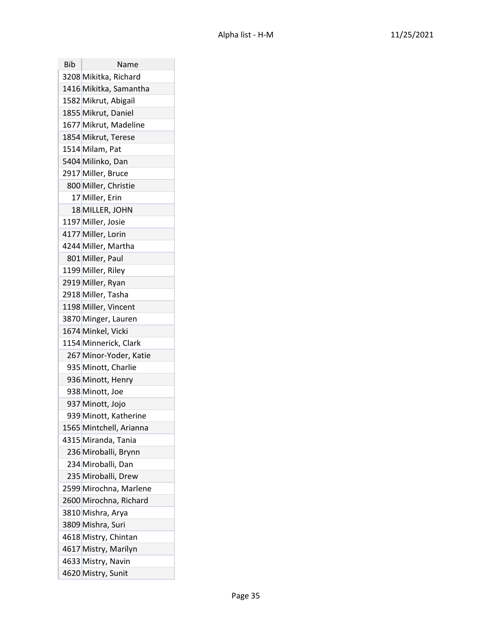| Bib | Name                    |
|-----|-------------------------|
|     | 3208 Mikitka, Richard   |
|     | 1416 Mikitka, Samantha  |
|     | 1582 Mikrut, Abigail    |
|     | 1855 Mikrut, Daniel     |
|     | 1677 Mikrut, Madeline   |
|     | 1854 Mikrut, Terese     |
|     | 1514 Milam, Pat         |
|     | 5404 Milinko, Dan       |
|     | 2917 Miller, Bruce      |
|     | 800 Miller, Christie    |
|     | 17 Miller, Erin         |
|     | 18 MILLER, JOHN         |
|     | 1197 Miller, Josie      |
|     | 4177 Miller, Lorin      |
|     | 4244 Miller, Martha     |
|     | 801 Miller, Paul        |
|     | 1199 Miller, Riley      |
|     | 2919 Miller, Ryan       |
|     | 2918 Miller, Tasha      |
|     | 1198 Miller, Vincent    |
|     | 3870 Minger, Lauren     |
|     | 1674 Minkel, Vicki      |
|     | 1154 Minnerick, Clark   |
|     | 267 Minor-Yoder, Katie  |
|     | 935 Minott, Charlie     |
|     | 936 Minott, Henry       |
|     | 938 Minott, Joe         |
|     | 937 Minott, Jojo        |
|     | 939 Minott, Katherine   |
|     | 1565 Mintchell, Arianna |
|     | 4315 Miranda, Tania     |
|     | 236 Miroballi, Brynn    |
|     | 234 Miroballi, Dan      |
|     | 235 Miroballi, Drew     |
|     | 2599 Mirochna, Marlene  |
|     | 2600 Mirochna, Richard  |
|     | 3810 Mishra, Arya       |
|     | 3809 Mishra, Suri       |
|     | 4618 Mistry, Chintan    |
|     | 4617 Mistry, Marilyn    |
|     | 4633 Mistry, Navin      |
|     | 4620 Mistry, Sunit      |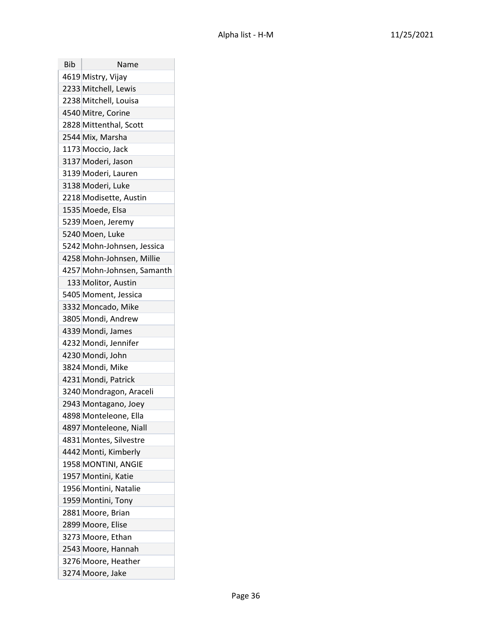| Bib | Name                       |
|-----|----------------------------|
|     | 4619 Mistry, Vijay         |
|     | 2233 Mitchell, Lewis       |
|     | 2238 Mitchell, Louisa      |
|     | 4540 Mitre, Corine         |
|     | 2828 Mittenthal, Scott     |
|     | 2544 Mix, Marsha           |
|     | 1173 Moccio, Jack          |
|     | 3137 Moderi, Jason         |
|     | 3139 Moderi, Lauren        |
|     | 3138 Moderi, Luke          |
|     | 2218 Modisette, Austin     |
|     | 1535 Moede, Elsa           |
|     | 5239 Moen, Jeremy          |
|     | 5240 Moen, Luke            |
|     | 5242 Mohn-Johnsen, Jessica |
|     | 4258 Mohn-Johnsen, Millie  |
|     | 4257 Mohn-Johnsen, Samanth |
|     | 133 Molitor, Austin        |
|     | 5405 Moment, Jessica       |
|     | 3332 Moncado, Mike         |
|     | 3805 Mondi, Andrew         |
|     | 4339 Mondi, James          |
|     | 4232 Mondi, Jennifer       |
|     | 4230 Mondi, John           |
|     | 3824 Mondi, Mike           |
|     | 4231 Mondi, Patrick        |
|     | 3240 Mondragon, Araceli    |
|     | 2943 Montagano, Joey       |
|     | 4898 Monteleone, Ella      |
|     | 4897 Monteleone, Niall     |
|     | 4831 Montes, Silvestre     |
|     | 4442 Monti, Kimberly       |
|     | 1958 MONTINI, ANGIE        |
|     | 1957 Montini, Katie        |
|     | 1956 Montini, Natalie      |
|     | 1959 Montini, Tony         |
|     | 2881 Moore, Brian          |
|     | 2899 Moore, Elise          |
|     | 3273 Moore, Ethan          |
|     | 2543 Moore, Hannah         |
|     | 3276 Moore, Heather        |
|     | 3274 Moore, Jake           |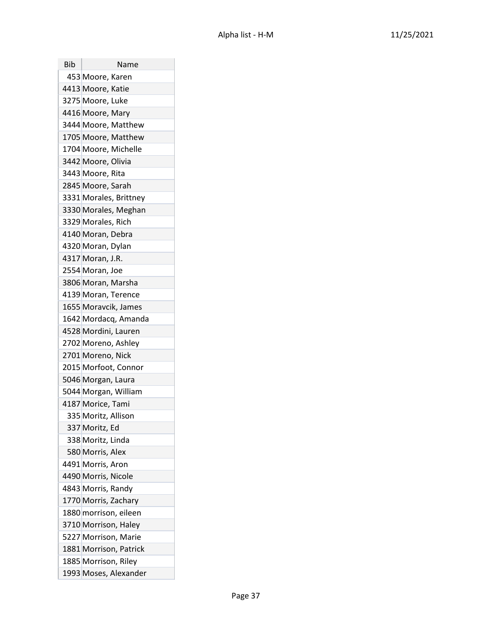| Bib | Name                   |
|-----|------------------------|
|     | 453 Moore, Karen       |
|     | 4413 Moore, Katie      |
|     | 3275 Moore, Luke       |
|     | 4416 Moore, Mary       |
|     | 3444 Moore, Matthew    |
|     | 1705 Moore, Matthew    |
|     | 1704 Moore, Michelle   |
|     | 3442 Moore, Olivia     |
|     | 3443 Moore, Rita       |
|     | 2845 Moore, Sarah      |
|     | 3331 Morales, Brittney |
|     | 3330 Morales, Meghan   |
|     | 3329 Morales, Rich     |
|     | 4140 Moran, Debra      |
|     | 4320 Moran, Dylan      |
|     | 4317 Moran, J.R.       |
|     | 2554 Moran, Joe        |
|     | 3806 Moran, Marsha     |
|     | 4139 Moran, Terence    |
|     | 1655 Moravcik, James   |
|     | 1642 Mordacq, Amanda   |
|     | 4528 Mordini, Lauren   |
|     | 2702 Moreno, Ashley    |
|     | 2701 Moreno, Nick      |
|     | 2015 Morfoot, Connor   |
|     | 5046 Morgan, Laura     |
|     | 5044 Morgan, William   |
|     | 4187 Morice, Tami      |
|     | 335 Moritz, Allison    |
|     | 337 Moritz, Ed         |
|     | 338 Moritz, Linda      |
|     | 580 Morris, Alex       |
|     | 4491 Morris, Aron      |
|     | 4490 Morris, Nicole    |
|     | 4843 Morris, Randy     |
|     | 1770 Morris, Zachary   |
|     | 1880 morrison, eileen  |
|     | 3710 Morrison, Haley   |
|     | 5227 Morrison, Marie   |
|     | 1881 Morrison, Patrick |
|     | 1885 Morrison, Riley   |
|     | 1993 Moses, Alexander  |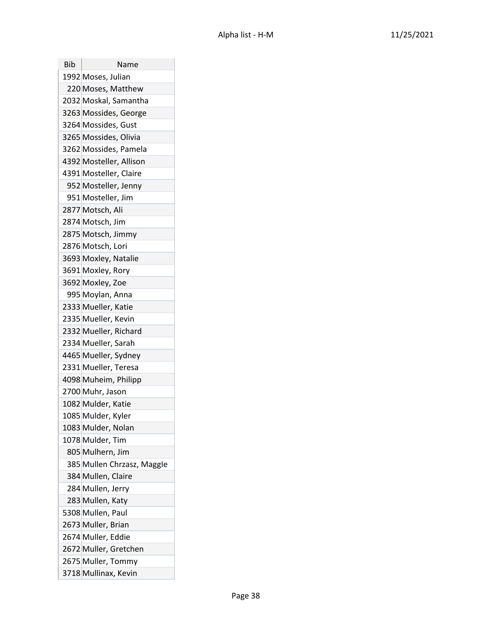| <b>Bib</b> | Name                       |
|------------|----------------------------|
|            | 1992 Moses, Julian         |
|            | 220 Moses, Matthew         |
|            | 2032 Moskal, Samantha      |
|            | 3263 Mossides, George      |
|            | 3264 Mossides, Gust        |
|            | 3265 Mossides, Olivia      |
|            | 3262 Mossides, Pamela      |
|            | 4392 Mosteller, Allison    |
|            | 4391 Mosteller, Claire     |
|            | 952 Mosteller, Jenny       |
|            | 951 Mosteller, Jim         |
|            | 2877 Motsch, Ali           |
|            | 2874 Motsch, Jim           |
|            | 2875 Motsch, Jimmy         |
|            | 2876 Motsch, Lori          |
|            | 3693 Moxley, Natalie       |
|            | 3691 Moxley, Rory          |
|            | 3692 Moxley, Zoe           |
|            | 995 Moylan, Anna           |
|            | 2333 Mueller, Katie        |
|            | 2335 Mueller, Kevin        |
|            | 2332 Mueller, Richard      |
|            | 2334 Mueller, Sarah        |
|            | 4465 Mueller, Sydney       |
|            | 2331 Mueller, Teresa       |
|            | 4098 Muheim, Philipp       |
|            | 2700 Muhr, Jason           |
|            | 1082 Mulder, Katie         |
|            | 1085 Mulder, Kyler         |
|            | 1083 Mulder, Nolan         |
|            | 1078 Mulder, Tim           |
|            | 805 Mulhern, Jim           |
|            | 385 Mullen Chrzasz, Maggle |
|            | 384 Mullen, Claire         |
|            | 284 Mullen, Jerry          |
|            | 283 Mullen, Katy           |
|            | 5308 Mullen, Paul          |
|            | 2673 Muller, Brian         |
|            | 2674 Muller, Eddie         |
|            | 2672 Muller, Gretchen      |
|            | 2675 Muller, Tommy         |
|            | 3718 Mullinax, Kevin       |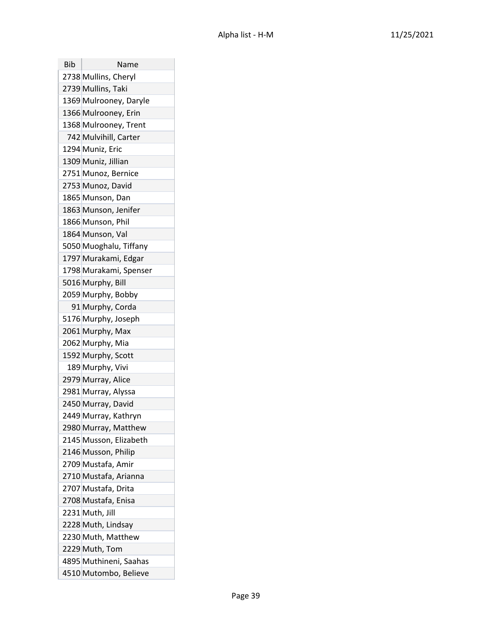| <b>Bib</b> | Name                   |
|------------|------------------------|
|            | 2738 Mullins, Cheryl   |
|            | 2739 Mullins, Taki     |
|            | 1369 Mulrooney, Daryle |
|            | 1366 Mulrooney, Erin   |
|            | 1368 Mulrooney, Trent  |
|            | 742 Mulvihill, Carter  |
|            | 1294 Muniz, Eric       |
|            | 1309 Muniz, Jillian    |
|            | 2751 Munoz, Bernice    |
|            | 2753 Munoz, David      |
|            | 1865 Munson, Dan       |
|            | 1863 Munson, Jenifer   |
|            | 1866 Munson, Phil      |
|            | 1864 Munson, Val       |
|            | 5050 Muoghalu, Tiffany |
|            | 1797 Murakami, Edgar   |
|            | 1798 Murakami, Spenser |
|            | 5016 Murphy, Bill      |
|            | 2059 Murphy, Bobby     |
|            | 91 Murphy, Corda       |
|            | 5176 Murphy, Joseph    |
|            | 2061 Murphy, Max       |
|            | 2062 Murphy, Mia       |
|            | 1592 Murphy, Scott     |
|            | 189 Murphy, Vivi       |
|            | 2979 Murray, Alice     |
|            | 2981 Murray, Alyssa    |
|            | 2450 Murray, David     |
|            | 2449 Murray, Kathryn   |
|            | 2980 Murray, Matthew   |
|            | 2145 Musson, Elizabeth |
|            | 2146 Musson, Philip    |
|            | 2709 Mustafa, Amir     |
|            | 2710 Mustafa, Arianna  |
|            | 2707 Mustafa, Drita    |
|            | 2708 Mustafa, Enisa    |
|            | 2231 Muth, Jill        |
|            | 2228 Muth, Lindsay     |
|            | 2230 Muth, Matthew     |
|            | 2229 Muth, Tom         |
|            | 4895 Muthineni, Saahas |
|            | 4510 Mutombo, Believe  |